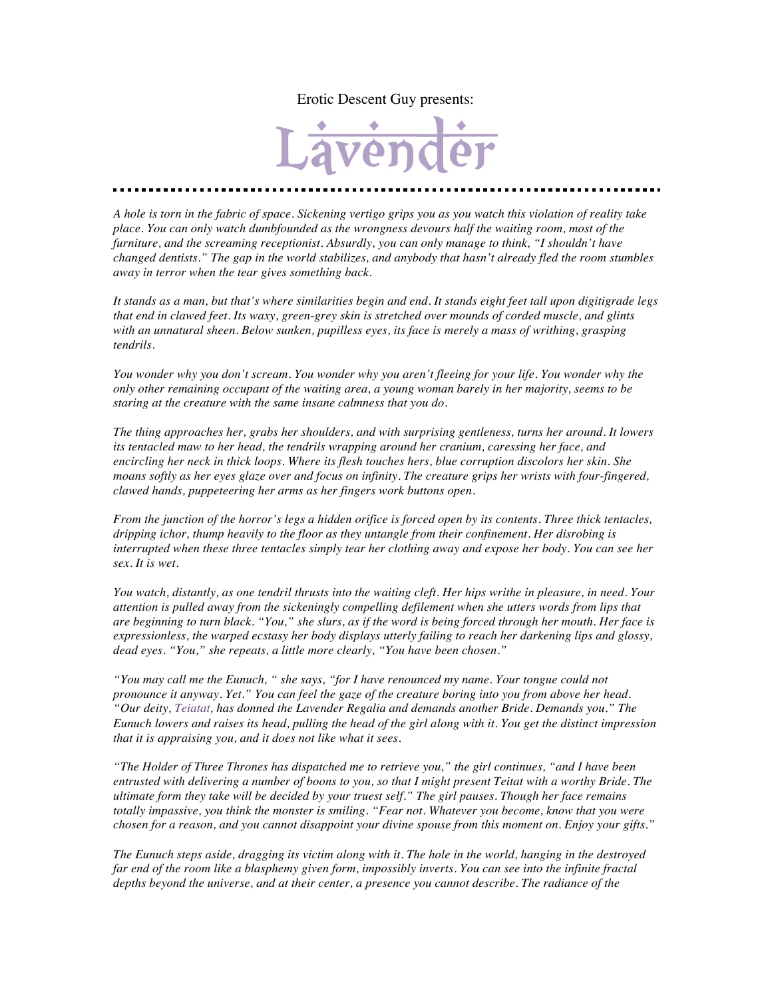### Erotic Descent Guy presents:



*A hole is torn in the fabric of space. Sickening vertigo grips you as you watch this violation of reality take place. You can only watch dumbfounded as the wrongness devours half the waiting room, most of the furniture, and the screaming receptionist. Absurdly, you can only manage to think, "I shouldn't have changed dentists." The gap in the world stabilizes, and anybody that hasn't already fled the room stumbles away in terror when the tear gives something back.*

*It stands as a man, but that's where similarities begin and end. It stands eight feet tall upon digitigrade legs that end in clawed feet. Its waxy, green-grey skin is stretched over mounds of corded muscle, and glints with an unnatural sheen. Below sunken, pupilless eyes, its face is merely a mass of writhing, grasping tendrils.*

*You wonder why you don't scream. You wonder why you aren't fleeing for your life. You wonder why the only other remaining occupant of the waiting area, a young woman barely in her majority, seems to be staring at the creature with the same insane calmness that you do.*

*The thing approaches her, grabs her shoulders, and with surprising gentleness, turns her around. It lowers its tentacled maw to her head, the tendrils wrapping around her cranium, caressing her face, and encircling her neck in thick loops. Where its flesh touches hers, blue corruption discolors her skin. She moans softly as her eyes glaze over and focus on infinity. The creature grips her wrists with four-fingered, clawed hands, puppeteering her arms as her fingers work buttons open.*

*From the junction of the horror's legs a hidden orifice is forced open by its contents. Three thick tentacles, dripping ichor, thump heavily to the floor as they untangle from their confinement. Her disrobing is interrupted when these three tentacles simply tear her clothing away and expose her body. You can see her sex. It is wet.*

*You watch, distantly, as one tendril thrusts into the waiting cleft. Her hips writhe in pleasure, in need. Your attention is pulled away from the sickeningly compelling defilement when she utters words from lips that are beginning to turn black. "You," she slurs, as if the word is being forced through her mouth. Her face is expressionless, the warped ecstasy her body displays utterly failing to reach her darkening lips and glossy, dead eyes. "You," she repeats, a little more clearly, "You have been chosen."*

*"You may call me the Eunuch, " she says, "for I have renounced my name. Your tongue could not pronounce it anyway. Yet." You can feel the gaze of the creature boring into you from above her head. "Our deity, Teiatat, has donned the Lavender Regalia and demands another Bride. Demands you." The Eunuch lowers and raises its head, pulling the head of the girl along with it. You get the distinct impression that it is appraising you, and it does not like what it sees.*

*"The Holder of Three Thrones has dispatched me to retrieve you," the girl continues, "and I have been entrusted with delivering a number of boons to you, so that I might present Teitat with a worthy Bride. The ultimate form they take will be decided by your truest self." The girl pauses. Though her face remains totally impassive, you think the monster is smiling. "Fear not. Whatever you become, know that you were chosen for a reason, and you cannot disappoint your divine spouse from this moment on. Enjoy your gifts."*

*The Eunuch steps aside, dragging its victim along with it. The hole in the world, hanging in the destroyed far end of the room like a blasphemy given form, impossibly inverts. You can see into the infinite fractal depths beyond the universe, and at their center, a presence you cannot describe. The radiance of the*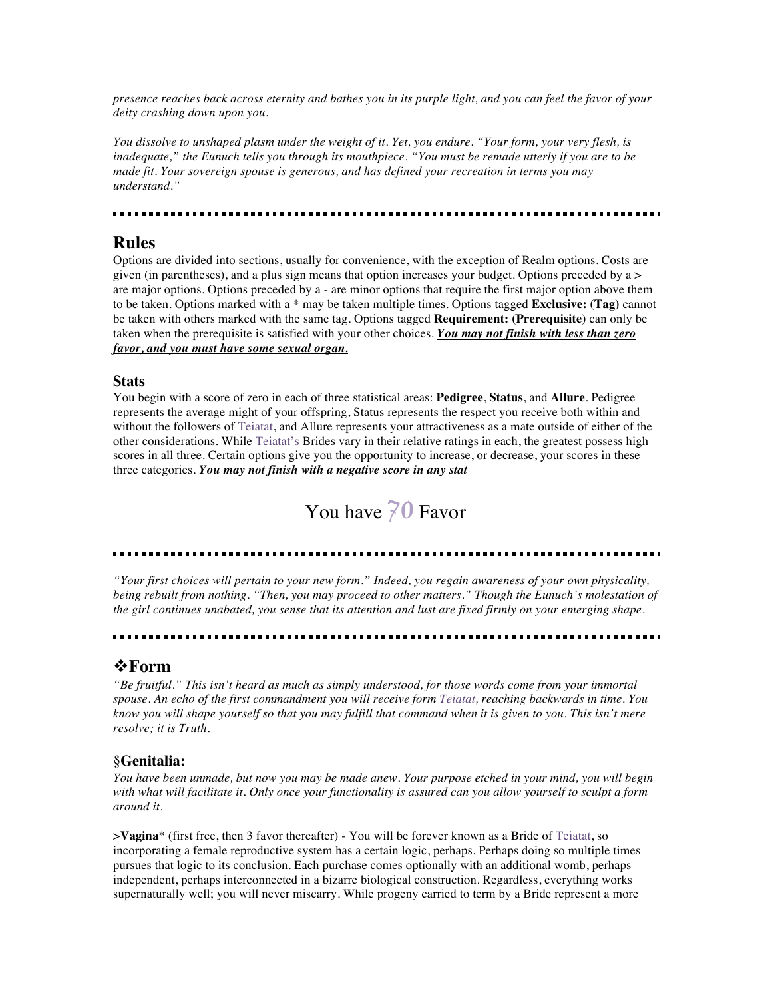*presence reaches back across eternity and bathes you in its purple light, and you can feel the favor of your deity crashing down upon you.*

*You dissolve to unshaped plasm under the weight of it. Yet, you endure. "Your form, your very flesh, is inadequate," the Eunuch tells you through its mouthpiece. "You must be remade utterly if you are to be made fit. Your sovereign spouse is generous, and has defined your recreation in terms you may understand."*

#### 

### **Rules**

Options are divided into sections, usually for convenience, with the exception of Realm options. Costs are given (in parentheses), and a plus sign means that option increases your budget. Options preceded by  $a >$ are major options. Options preceded by a - are minor options that require the first major option above them to be taken. Options marked with a \* may be taken multiple times. Options tagged **Exclusive: (Tag)** cannot be taken with others marked with the same tag. Options tagged **Requirement: (Prerequisite)** can only be taken when the prerequisite is satisfied with your other choices. *You may not finish with less than zero favor, and you must have some sexual organ.*

### **Stats**

You begin with a score of zero in each of three statistical areas: **Pedigree**, **Status**, and **Allure**. Pedigree represents the average might of your offspring, Status represents the respect you receive both within and without the followers of Teiatat, and Allure represents your attractiveness as a mate outside of either of the other considerations. While Teiatat's Brides vary in their relative ratings in each, the greatest possess high scores in all three. Certain options give you the opportunity to increase, or decrease, your scores in these three categories. *You may not finish with a negative score in any stat*

# You have **70** Favor

*"Your first choices will pertain to your new form." Indeed, you regain awareness of your own physicality, being rebuilt from nothing. "Then, you may proceed to other matters." Though the Eunuch's molestation of the girl continues unabated, you sense that its attention and lust are fixed firmly on your emerging shape.*

### !**Form**

*"Be fruitful." This isn't heard as much as simply understood, for those words come from your immortal spouse. An echo of the first commandment you will receive form Teiatat, reaching backwards in time. You know you will shape yourself so that you may fulfill that command when it is given to you. This isn't mere resolve; it is Truth.*

### §**Genitalia:**

*You have been unmade, but now you may be made anew. Your purpose etched in your mind, you will begin with what will facilitate it. Only once your functionality is assured can you allow yourself to sculpt a form around it.*

>**Vagina**\* (first free, then 3 favor thereafter) - You will be forever known as a Bride of Teiatat, so incorporating a female reproductive system has a certain logic, perhaps. Perhaps doing so multiple times pursues that logic to its conclusion. Each purchase comes optionally with an additional womb, perhaps independent, perhaps interconnected in a bizarre biological construction. Regardless, everything works supernaturally well; you will never miscarry. While progeny carried to term by a Bride represent a more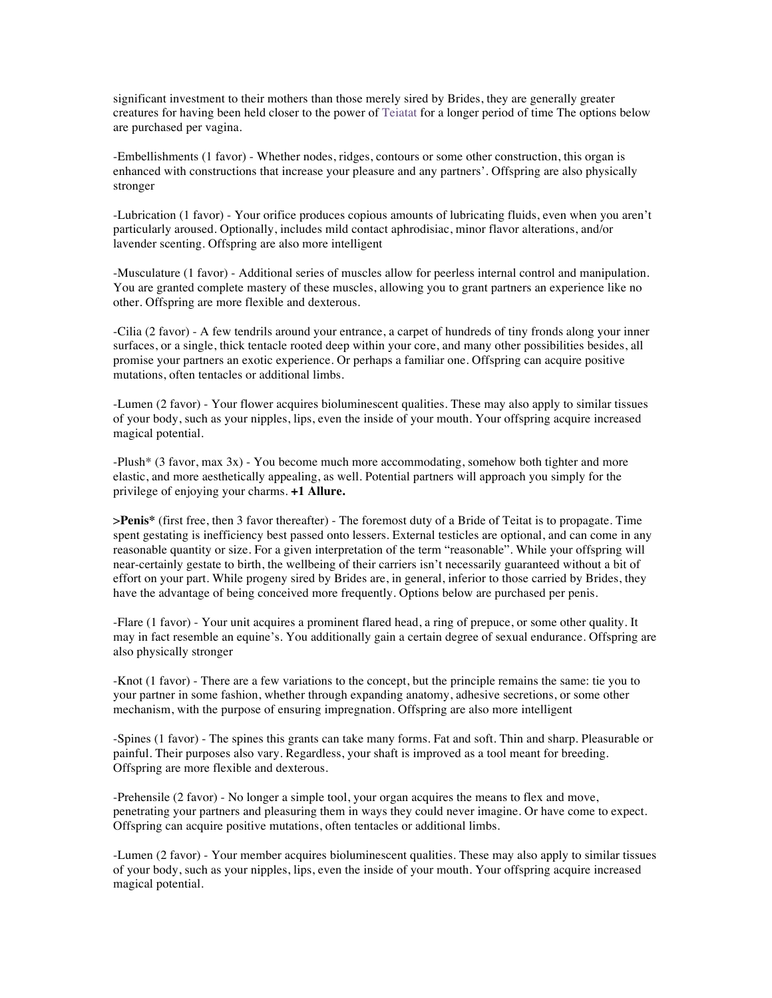significant investment to their mothers than those merely sired by Brides, they are generally greater creatures for having been held closer to the power of Teiatat for a longer period of time The options below are purchased per vagina.

-Embellishments (1 favor) - Whether nodes, ridges, contours or some other construction, this organ is enhanced with constructions that increase your pleasure and any partners'. Offspring are also physically stronger

-Lubrication (1 favor) - Your orifice produces copious amounts of lubricating fluids, even when you aren't particularly aroused. Optionally, includes mild contact aphrodisiac, minor flavor alterations, and/or lavender scenting. Offspring are also more intelligent

-Musculature (1 favor) - Additional series of muscles allow for peerless internal control and manipulation. You are granted complete mastery of these muscles, allowing you to grant partners an experience like no other. Offspring are more flexible and dexterous.

-Cilia (2 favor) - A few tendrils around your entrance, a carpet of hundreds of tiny fronds along your inner surfaces, or a single, thick tentacle rooted deep within your core, and many other possibilities besides, all promise your partners an exotic experience. Or perhaps a familiar one. Offspring can acquire positive mutations, often tentacles or additional limbs.

-Lumen (2 favor) - Your flower acquires bioluminescent qualities. These may also apply to similar tissues of your body, such as your nipples, lips, even the inside of your mouth. Your offspring acquire increased magical potential.

-Plush<sup>\*</sup> (3 favor, max  $3x$ ) - You become much more accommodating, somehow both tighter and more elastic, and more aesthetically appealing, as well. Potential partners will approach you simply for the privilege of enjoying your charms. **+1 Allure.** 

>**Penis\*** (first free, then 3 favor thereafter) - The foremost duty of a Bride of Teitat is to propagate. Time spent gestating is inefficiency best passed onto lessers. External testicles are optional, and can come in any reasonable quantity or size. For a given interpretation of the term "reasonable". While your offspring will near-certainly gestate to birth, the wellbeing of their carriers isn't necessarily guaranteed without a bit of effort on your part. While progeny sired by Brides are, in general, inferior to those carried by Brides, they have the advantage of being conceived more frequently. Options below are purchased per penis.

-Flare (1 favor) - Your unit acquires a prominent flared head, a ring of prepuce, or some other quality. It may in fact resemble an equine's. You additionally gain a certain degree of sexual endurance. Offspring are also physically stronger

-Knot (1 favor) - There are a few variations to the concept, but the principle remains the same: tie you to your partner in some fashion, whether through expanding anatomy, adhesive secretions, or some other mechanism, with the purpose of ensuring impregnation. Offspring are also more intelligent

-Spines (1 favor) - The spines this grants can take many forms. Fat and soft. Thin and sharp. Pleasurable or painful. Their purposes also vary. Regardless, your shaft is improved as a tool meant for breeding. Offspring are more flexible and dexterous.

-Prehensile (2 favor) - No longer a simple tool, your organ acquires the means to flex and move, penetrating your partners and pleasuring them in ways they could never imagine. Or have come to expect. Offspring can acquire positive mutations, often tentacles or additional limbs.

-Lumen (2 favor) - Your member acquires bioluminescent qualities. These may also apply to similar tissues of your body, such as your nipples, lips, even the inside of your mouth. Your offspring acquire increased magical potential.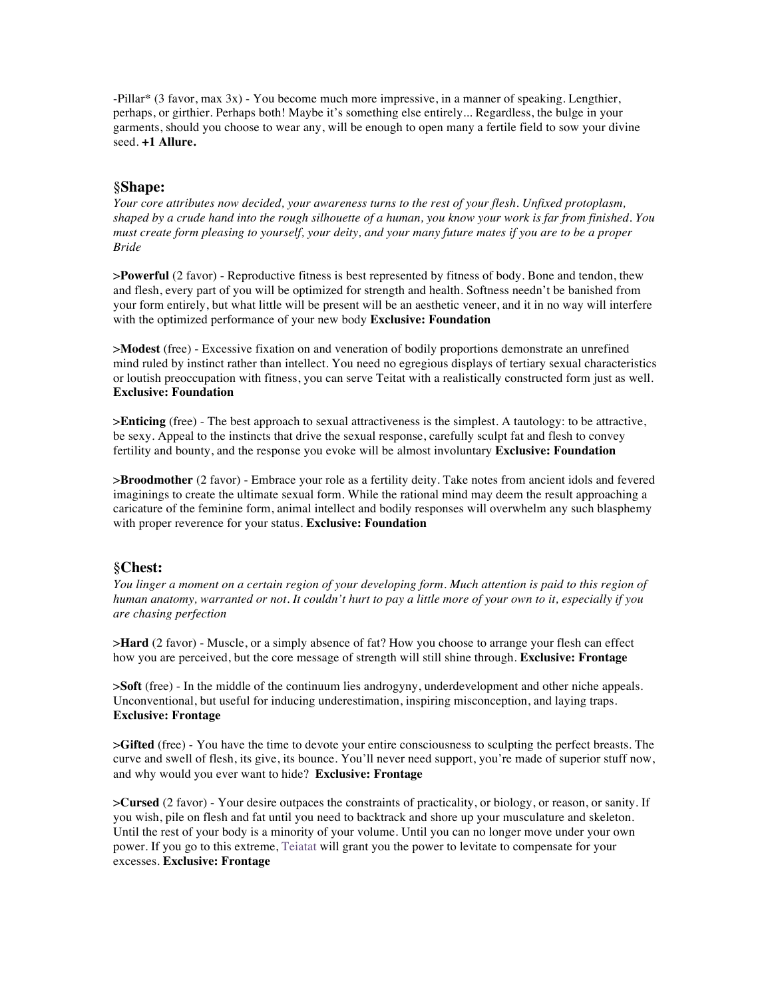-Pillar\* (3 favor, max 3x) - You become much more impressive, in a manner of speaking. Lengthier, perhaps, or girthier. Perhaps both! Maybe it's something else entirely... Regardless, the bulge in your garments, should you choose to wear any, will be enough to open many a fertile field to sow your divine seed. **+1 Allure.** 

### §**Shape:**

*Your core attributes now decided, your awareness turns to the rest of your flesh. Unfixed protoplasm, shaped by a crude hand into the rough silhouette of a human, you know your work is far from finished. You must create form pleasing to yourself, your deity, and your many future mates if you are to be a proper Bride*

>**Powerful** (2 favor) - Reproductive fitness is best represented by fitness of body. Bone and tendon, thew and flesh, every part of you will be optimized for strength and health. Softness needn't be banished from your form entirely, but what little will be present will be an aesthetic veneer, and it in no way will interfere with the optimized performance of your new body **Exclusive: Foundation**

>**Modest** (free) - Excessive fixation on and veneration of bodily proportions demonstrate an unrefined mind ruled by instinct rather than intellect. You need no egregious displays of tertiary sexual characteristics or loutish preoccupation with fitness, you can serve Teitat with a realistically constructed form just as well. **Exclusive: Foundation**

>**Enticing** (free) - The best approach to sexual attractiveness is the simplest. A tautology: to be attractive, be sexy. Appeal to the instincts that drive the sexual response, carefully sculpt fat and flesh to convey fertility and bounty, and the response you evoke will be almost involuntary **Exclusive: Foundation**

>**Broodmother** (2 favor) - Embrace your role as a fertility deity. Take notes from ancient idols and fevered imaginings to create the ultimate sexual form. While the rational mind may deem the result approaching a caricature of the feminine form, animal intellect and bodily responses will overwhelm any such blasphemy with proper reverence for your status. **Exclusive: Foundation**

### §**Chest:**

*You linger a moment on a certain region of your developing form. Much attention is paid to this region of human anatomy, warranted or not. It couldn't hurt to pay a little more of your own to it, especially if you are chasing perfection*

>**Hard** (2 favor) - Muscle, or a simply absence of fat? How you choose to arrange your flesh can effect how you are perceived, but the core message of strength will still shine through. **Exclusive: Frontage**

>**Soft** (free) - In the middle of the continuum lies androgyny, underdevelopment and other niche appeals. Unconventional, but useful for inducing underestimation, inspiring misconception, and laying traps. **Exclusive: Frontage**

>**Gifted** (free) - You have the time to devote your entire consciousness to sculpting the perfect breasts. The curve and swell of flesh, its give, its bounce. You'll never need support, you're made of superior stuff now, and why would you ever want to hide? **Exclusive: Frontage**

>**Cursed** (2 favor) - Your desire outpaces the constraints of practicality, or biology, or reason, or sanity. If you wish, pile on flesh and fat until you need to backtrack and shore up your musculature and skeleton. Until the rest of your body is a minority of your volume. Until you can no longer move under your own power. If you go to this extreme, Teiatat will grant you the power to levitate to compensate for your excesses. **Exclusive: Frontage**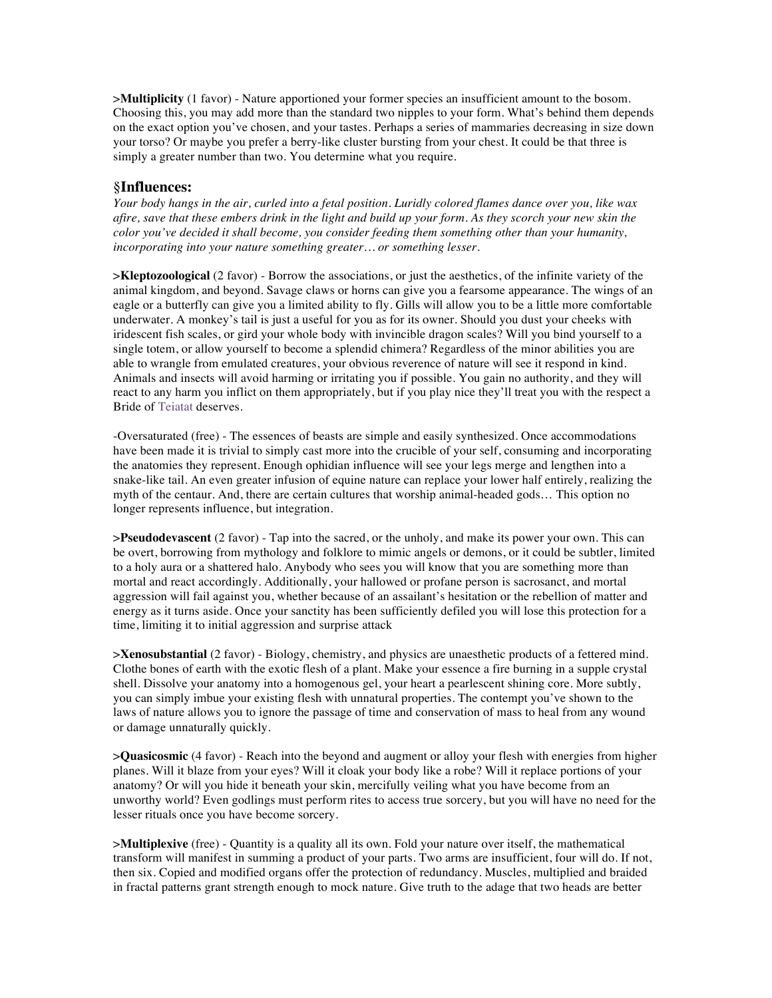>**Multiplicity** (1 favor) - Nature apportioned your former species an insufficient amount to the bosom. Choosing this, you may add more than the standard two nipples to your form. What's behind them depends on the exact option you've chosen, and your tastes. Perhaps a series of mammaries decreasing in size down your torso? Or maybe you prefer a berry-like cluster bursting from your chest. It could be that three is simply a greater number than two. You determine what you require.

### §**Influences:**

*Your body hangs in the air, curled into a fetal position. Luridly colored flames dance over you, like wax afire, save that these embers drink in the light and build up your form. As they scorch your new skin the color you've decided it shall become, you consider feeding them something other than your humanity, incorporating into your nature something greater… or something lesser.*

>**Kleptozoological** (2 favor) - Borrow the associations, or just the aesthetics, of the infinite variety of the animal kingdom, and beyond. Savage claws or horns can give you a fearsome appearance. The wings of an eagle or a butterfly can give you a limited ability to fly. Gills will allow you to be a little more comfortable underwater. A monkey's tail is just a useful for you as for its owner. Should you dust your cheeks with iridescent fish scales, or gird your whole body with invincible dragon scales? Will you bind yourself to a single totem, or allow yourself to become a splendid chimera? Regardless of the minor abilities you are able to wrangle from emulated creatures, your obvious reverence of nature will see it respond in kind. Animals and insects will avoid harming or irritating you if possible. You gain no authority, and they will react to any harm you inflict on them appropriately, but if you play nice they'll treat you with the respect a Bride of Teiatat deserves.

-Oversaturated (free) - The essences of beasts are simple and easily synthesized. Once accommodations have been made it is trivial to simply cast more into the crucible of your self, consuming and incorporating the anatomies they represent. Enough ophidian influence will see your legs merge and lengthen into a snake-like tail. An even greater infusion of equine nature can replace your lower half entirely, realizing the myth of the centaur. And, there are certain cultures that worship animal-headed gods… This option no longer represents influence, but integration.

>**Pseudodevascent** (2 favor) - Tap into the sacred, or the unholy, and make its power your own. This can be overt, borrowing from mythology and folklore to mimic angels or demons, or it could be subtler, limited to a holy aura or a shattered halo. Anybody who sees you will know that you are something more than mortal and react accordingly. Additionally, your hallowed or profane person is sacrosanct, and mortal aggression will fail against you, whether because of an assailant's hesitation or the rebellion of matter and energy as it turns aside. Once your sanctity has been sufficiently defiled you will lose this protection for a time, limiting it to initial aggression and surprise attack

>**Xenosubstantial** (2 favor) - Biology, chemistry, and physics are unaesthetic products of a fettered mind. Clothe bones of earth with the exotic flesh of a plant. Make your essence a fire burning in a supple crystal shell. Dissolve your anatomy into a homogenous gel, your heart a pearlescent shining core. More subtly, you can simply imbue your existing flesh with unnatural properties. The contempt you've shown to the laws of nature allows you to ignore the passage of time and conservation of mass to heal from any wound or damage unnaturally quickly.

>**Quasicosmic** (4 favor) - Reach into the beyond and augment or alloy your flesh with energies from higher planes. Will it blaze from your eyes? Will it cloak your body like a robe? Will it replace portions of your anatomy? Or will you hide it beneath your skin, mercifully veiling what you have become from an unworthy world? Even godlings must perform rites to access true sorcery, but you will have no need for the lesser rituals once you have become sorcery.

>**Multiplexive** (free) - Quantity is a quality all its own. Fold your nature over itself, the mathematical transform will manifest in summing a product of your parts. Two arms are insufficient, four will do. If not, then six. Copied and modified organs offer the protection of redundancy. Muscles, multiplied and braided in fractal patterns grant strength enough to mock nature. Give truth to the adage that two heads are better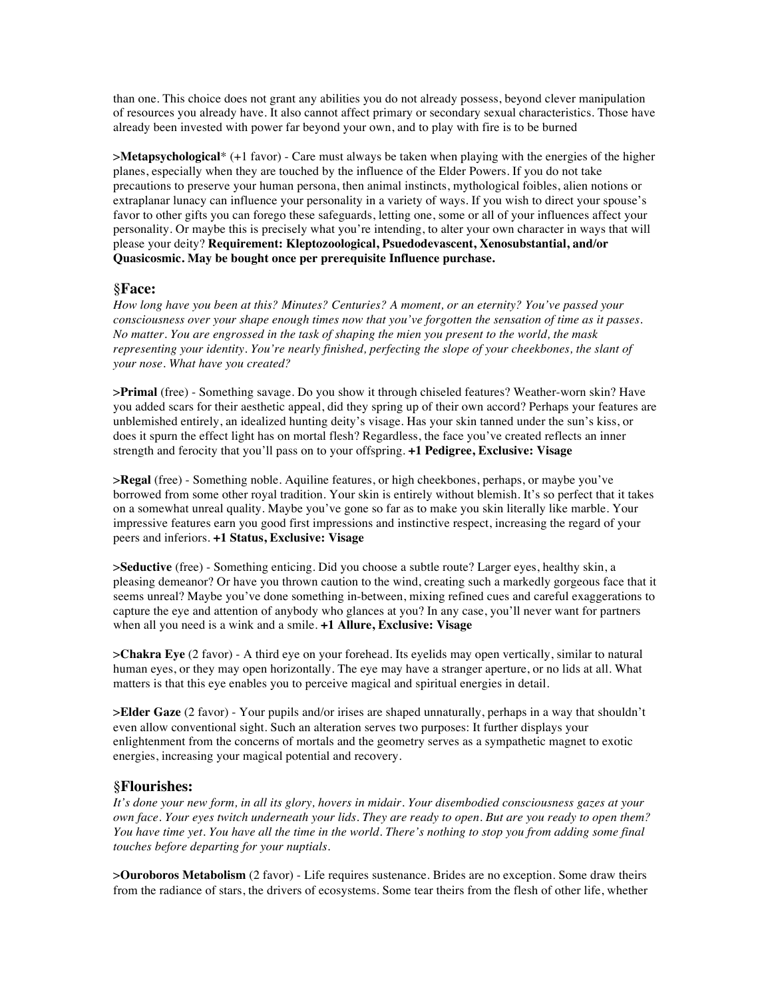than one. This choice does not grant any abilities you do not already possess, beyond clever manipulation of resources you already have. It also cannot affect primary or secondary sexual characteristics. Those have already been invested with power far beyond your own, and to play with fire is to be burned

>**Metapsychological**\* (+1 favor) - Care must always be taken when playing with the energies of the higher planes, especially when they are touched by the influence of the Elder Powers. If you do not take precautions to preserve your human persona, then animal instincts, mythological foibles, alien notions or extraplanar lunacy can influence your personality in a variety of ways. If you wish to direct your spouse's favor to other gifts you can forego these safeguards, letting one, some or all of your influences affect your personality. Or maybe this is precisely what you're intending, to alter your own character in ways that will please your deity? **Requirement: Kleptozoological, Psuedodevascent, Xenosubstantial, and/or Quasicosmic. May be bought once per prerequisite Influence purchase.**

### §**Face:**

*How long have you been at this? Minutes? Centuries? A moment, or an eternity? You've passed your consciousness over your shape enough times now that you've forgotten the sensation of time as it passes. No matter. You are engrossed in the task of shaping the mien you present to the world, the mask representing your identity. You're nearly finished, perfecting the slope of your cheekbones, the slant of your nose. What have you created?*

>**Primal** (free) - Something savage. Do you show it through chiseled features? Weather-worn skin? Have you added scars for their aesthetic appeal, did they spring up of their own accord? Perhaps your features are unblemished entirely, an idealized hunting deity's visage. Has your skin tanned under the sun's kiss, or does it spurn the effect light has on mortal flesh? Regardless, the face you've created reflects an inner strength and ferocity that you'll pass on to your offspring. **+1 Pedigree, Exclusive: Visage**

>**Regal** (free) - Something noble. Aquiline features, or high cheekbones, perhaps, or maybe you've borrowed from some other royal tradition. Your skin is entirely without blemish. It's so perfect that it takes on a somewhat unreal quality. Maybe you've gone so far as to make you skin literally like marble. Your impressive features earn you good first impressions and instinctive respect, increasing the regard of your peers and inferiors. **+1 Status, Exclusive: Visage**

>**Seductive** (free) - Something enticing. Did you choose a subtle route? Larger eyes, healthy skin, a pleasing demeanor? Or have you thrown caution to the wind, creating such a markedly gorgeous face that it seems unreal? Maybe you've done something in-between, mixing refined cues and careful exaggerations to capture the eye and attention of anybody who glances at you? In any case, you'll never want for partners when all you need is a wink and a smile. **+1 Allure, Exclusive: Visage**

>**Chakra Eye** (2 favor) - A third eye on your forehead. Its eyelids may open vertically, similar to natural human eyes, or they may open horizontally. The eye may have a stranger aperture, or no lids at all. What matters is that this eye enables you to perceive magical and spiritual energies in detail.

>**Elder Gaze** (2 favor) - Your pupils and/or irises are shaped unnaturally, perhaps in a way that shouldn't even allow conventional sight. Such an alteration serves two purposes: It further displays your enlightenment from the concerns of mortals and the geometry serves as a sympathetic magnet to exotic energies, increasing your magical potential and recovery.

### §**Flourishes:**

*It's done your new form, in all its glory, hovers in midair. Your disembodied consciousness gazes at your own face. Your eyes twitch underneath your lids. They are ready to open. But are you ready to open them? You have time yet. You have all the time in the world. There's nothing to stop you from adding some final touches before departing for your nuptials.*

>**Ouroboros Metabolism** (2 favor) - Life requires sustenance. Brides are no exception. Some draw theirs from the radiance of stars, the drivers of ecosystems. Some tear theirs from the flesh of other life, whether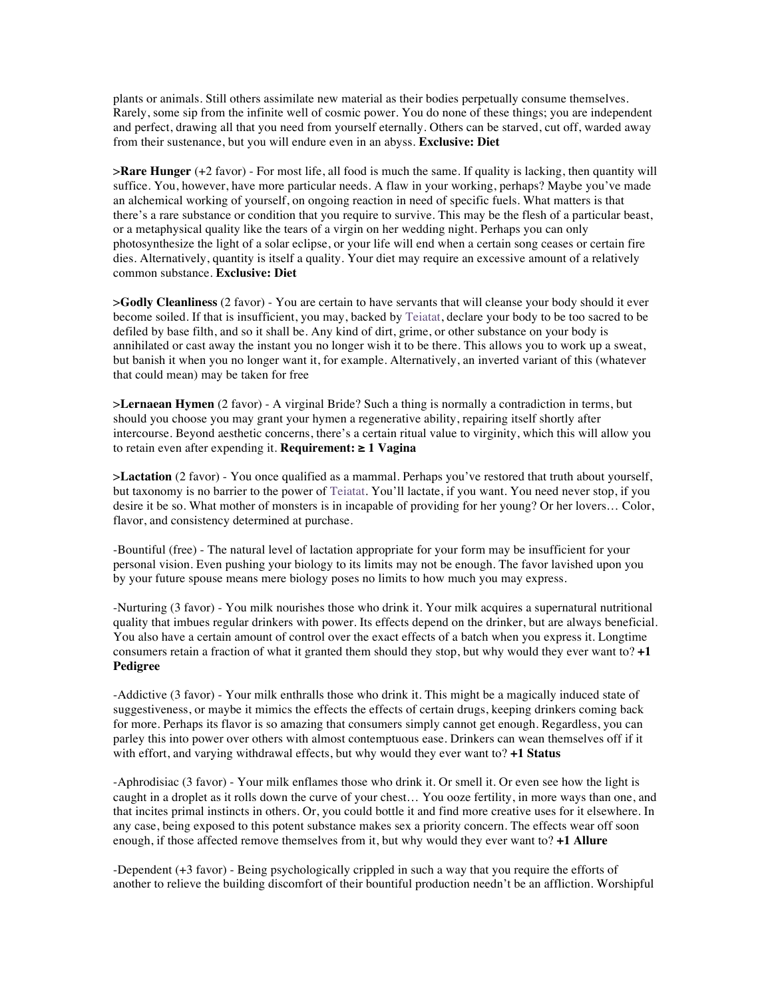plants or animals. Still others assimilate new material as their bodies perpetually consume themselves. Rarely, some sip from the infinite well of cosmic power. You do none of these things; you are independent and perfect, drawing all that you need from yourself eternally. Others can be starved, cut off, warded away from their sustenance, but you will endure even in an abyss. **Exclusive: Diet**

>**Rare Hunger** (+2 favor) - For most life, all food is much the same. If quality is lacking, then quantity will suffice. You, however, have more particular needs. A flaw in your working, perhaps? Maybe you've made an alchemical working of yourself, on ongoing reaction in need of specific fuels. What matters is that there's a rare substance or condition that you require to survive. This may be the flesh of a particular beast, or a metaphysical quality like the tears of a virgin on her wedding night. Perhaps you can only photosynthesize the light of a solar eclipse, or your life will end when a certain song ceases or certain fire dies. Alternatively, quantity is itself a quality. Your diet may require an excessive amount of a relatively common substance. **Exclusive: Diet**

>**Godly Cleanliness** (2 favor) - You are certain to have servants that will cleanse your body should it ever become soiled. If that is insufficient, you may, backed by Teiatat, declare your body to be too sacred to be defiled by base filth, and so it shall be. Any kind of dirt, grime, or other substance on your body is annihilated or cast away the instant you no longer wish it to be there. This allows you to work up a sweat, but banish it when you no longer want it, for example. Alternatively, an inverted variant of this (whatever that could mean) may be taken for free

>**Lernaean Hymen** (2 favor) - A virginal Bride? Such a thing is normally a contradiction in terms, but should you choose you may grant your hymen a regenerative ability, repairing itself shortly after intercourse. Beyond aesthetic concerns, there's a certain ritual value to virginity, which this will allow you to retain even after expending it. **Requirement: ≥ 1 Vagina**

>**Lactation** (2 favor) - You once qualified as a mammal. Perhaps you've restored that truth about yourself, but taxonomy is no barrier to the power of Teiatat. You'll lactate, if you want. You need never stop, if you desire it be so. What mother of monsters is in incapable of providing for her young? Or her lovers… Color, flavor, and consistency determined at purchase.

-Bountiful (free) - The natural level of lactation appropriate for your form may be insufficient for your personal vision. Even pushing your biology to its limits may not be enough. The favor lavished upon you by your future spouse means mere biology poses no limits to how much you may express.

-Nurturing (3 favor) - You milk nourishes those who drink it. Your milk acquires a supernatural nutritional quality that imbues regular drinkers with power. Its effects depend on the drinker, but are always beneficial. You also have a certain amount of control over the exact effects of a batch when you express it. Longtime consumers retain a fraction of what it granted them should they stop, but why would they ever want to? **+1 Pedigree**

-Addictive (3 favor) - Your milk enthralls those who drink it. This might be a magically induced state of suggestiveness, or maybe it mimics the effects the effects of certain drugs, keeping drinkers coming back for more. Perhaps its flavor is so amazing that consumers simply cannot get enough. Regardless, you can parley this into power over others with almost contemptuous ease. Drinkers can wean themselves off if it with effort, and varying withdrawal effects, but why would they ever want to? **+1 Status**

-Aphrodisiac (3 favor) - Your milk enflames those who drink it. Or smell it. Or even see how the light is caught in a droplet as it rolls down the curve of your chest… You ooze fertility, in more ways than one, and that incites primal instincts in others. Or, you could bottle it and find more creative uses for it elsewhere. In any case, being exposed to this potent substance makes sex a priority concern. The effects wear off soon enough, if those affected remove themselves from it, but why would they ever want to? **+1 Allure**

-Dependent (+3 favor) - Being psychologically crippled in such a way that you require the efforts of another to relieve the building discomfort of their bountiful production needn't be an affliction. Worshipful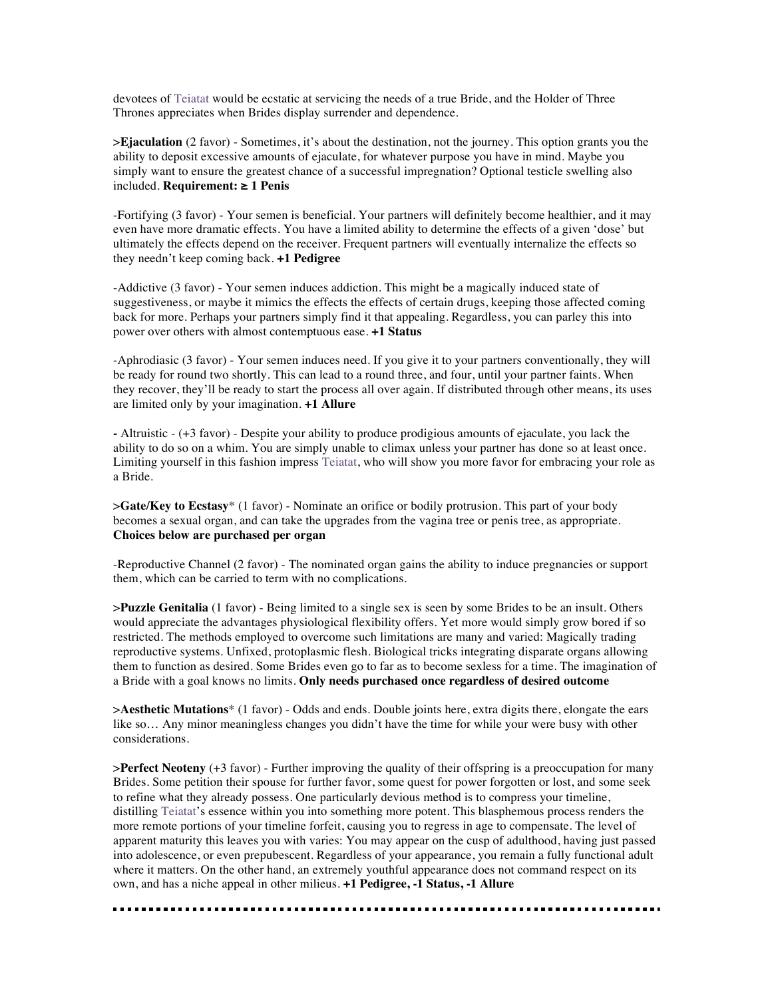devotees of Teiatat would be ecstatic at servicing the needs of a true Bride, and the Holder of Three Thrones appreciates when Brides display surrender and dependence.

>**Ejaculation** (2 favor) - Sometimes, it's about the destination, not the journey. This option grants you the ability to deposit excessive amounts of ejaculate, for whatever purpose you have in mind. Maybe you simply want to ensure the greatest chance of a successful impregnation? Optional testicle swelling also included. **Requirement: ≥ 1 Penis**

-Fortifying (3 favor) - Your semen is beneficial. Your partners will definitely become healthier, and it may even have more dramatic effects. You have a limited ability to determine the effects of a given 'dose' but ultimately the effects depend on the receiver. Frequent partners will eventually internalize the effects so they needn't keep coming back. **+1 Pedigree**

-Addictive (3 favor) - Your semen induces addiction. This might be a magically induced state of suggestiveness, or maybe it mimics the effects the effects of certain drugs, keeping those affected coming back for more. Perhaps your partners simply find it that appealing. Regardless, you can parley this into power over others with almost contemptuous ease. **+1 Status**

-Aphrodiasic (3 favor) - Your semen induces need. If you give it to your partners conventionally, they will be ready for round two shortly. This can lead to a round three, and four, until your partner faints. When they recover, they'll be ready to start the process all over again. If distributed through other means, its uses are limited only by your imagination. **+1 Allure**

**-** Altruistic - (+3 favor) - Despite your ability to produce prodigious amounts of ejaculate, you lack the ability to do so on a whim. You are simply unable to climax unless your partner has done so at least once. Limiting yourself in this fashion impress Teiatat, who will show you more favor for embracing your role as a Bride.

>**Gate/Key to Ecstasy**\* (1 favor) - Nominate an orifice or bodily protrusion. This part of your body becomes a sexual organ, and can take the upgrades from the vagina tree or penis tree, as appropriate. **Choices below are purchased per organ**

-Reproductive Channel (2 favor) - The nominated organ gains the ability to induce pregnancies or support them, which can be carried to term with no complications.

>**Puzzle Genitalia** (1 favor) - Being limited to a single sex is seen by some Brides to be an insult. Others would appreciate the advantages physiological flexibility offers. Yet more would simply grow bored if so restricted. The methods employed to overcome such limitations are many and varied: Magically trading reproductive systems. Unfixed, protoplasmic flesh. Biological tricks integrating disparate organs allowing them to function as desired. Some Brides even go to far as to become sexless for a time. The imagination of a Bride with a goal knows no limits. **Only needs purchased once regardless of desired outcome**

>**Aesthetic Mutations**\* (1 favor) - Odds and ends. Double joints here, extra digits there, elongate the ears like so… Any minor meaningless changes you didn't have the time for while your were busy with other considerations.

>**Perfect Neoteny** (+3 favor) - Further improving the quality of their offspring is a preoccupation for many Brides. Some petition their spouse for further favor, some quest for power forgotten or lost, and some seek to refine what they already possess. One particularly devious method is to compress your timeline, distilling Teiatat's essence within you into something more potent. This blasphemous process renders the more remote portions of your timeline forfeit, causing you to regress in age to compensate. The level of apparent maturity this leaves you with varies: You may appear on the cusp of adulthood, having just passed into adolescence, or even prepubescent. Regardless of your appearance, you remain a fully functional adult where it matters. On the other hand, an extremely youthful appearance does not command respect on its own, and has a niche appeal in other milieus. **+1 Pedigree, -1 Status, -1 Allure**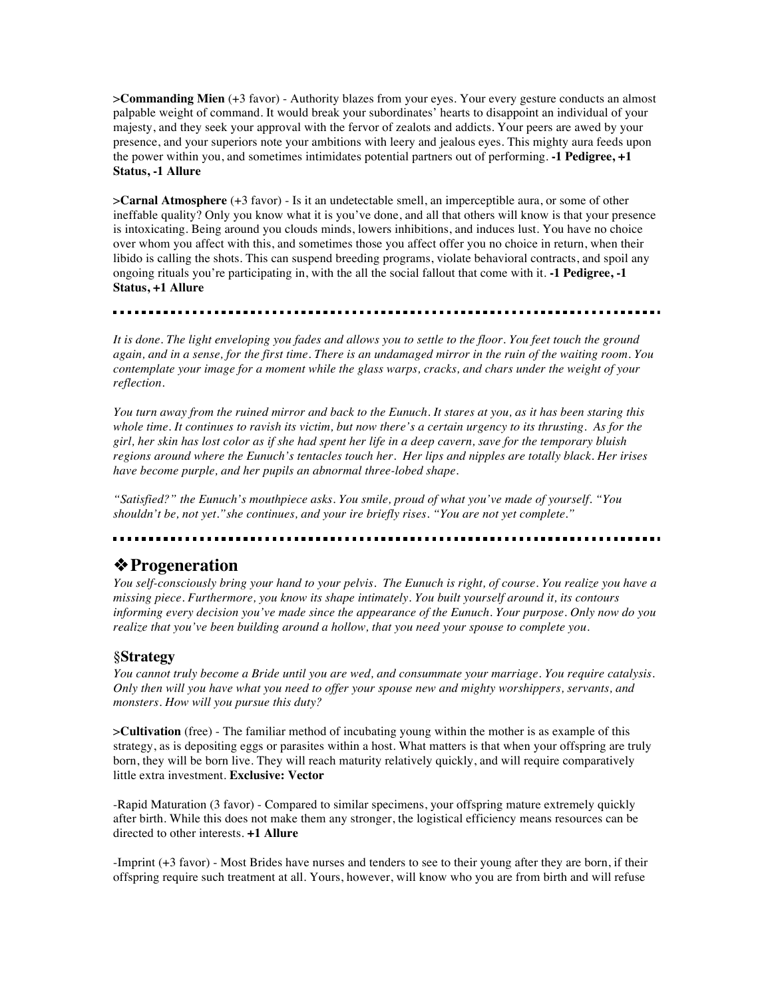>**Commanding Mien** (+3 favor) - Authority blazes from your eyes. Your every gesture conducts an almost palpable weight of command. It would break your subordinates' hearts to disappoint an individual of your majesty, and they seek your approval with the fervor of zealots and addicts. Your peers are awed by your presence, and your superiors note your ambitions with leery and jealous eyes. This mighty aura feeds upon the power within you, and sometimes intimidates potential partners out of performing. **-1 Pedigree, +1 Status, -1 Allure**

>**Carnal Atmosphere** (+3 favor) - Is it an undetectable smell, an imperceptible aura, or some of other ineffable quality? Only you know what it is you've done, and all that others will know is that your presence is intoxicating. Being around you clouds minds, lowers inhibitions, and induces lust. You have no choice over whom you affect with this, and sometimes those you affect offer you no choice in return, when their libido is calling the shots. This can suspend breeding programs, violate behavioral contracts, and spoil any ongoing rituals you're participating in, with the all the social fallout that come with it. **-1 Pedigree, -1 Status, +1 Allure**

*It is done. The light enveloping you fades and allows you to settle to the floor. You feet touch the ground again, and in a sense, for the first time. There is an undamaged mirror in the ruin of the waiting room. You contemplate your image for a moment while the glass warps, cracks, and chars under the weight of your reflection.* 

*You turn away from the ruined mirror and back to the Eunuch. It stares at you, as it has been staring this whole time. It continues to ravish its victim, but now there's a certain urgency to its thrusting. As for the girl, her skin has lost color as if she had spent her life in a deep cavern, save for the temporary bluish regions around where the Eunuch's tentacles touch her. Her lips and nipples are totally black. Her irises have become purple, and her pupils an abnormal three-lobed shape.*

*"Satisfied?" the Eunuch's mouthpiece asks. You smile, proud of what you've made of yourself. "You shouldn't be, not yet."she continues, and your ire briefly rises. "You are not yet complete."*

### !**Progeneration**

*You self-consciously bring your hand to your pelvis. The Eunuch is right, of course. You realize you have a missing piece. Furthermore, you know its shape intimately. You built yourself around it, its contours informing every decision you've made since the appearance of the Eunuch. Your purpose. Only now do you realize that you've been building around a hollow, that you need your spouse to complete you.*

### §**Strategy**

*You cannot truly become a Bride until you are wed, and consummate your marriage. You require catalysis. Only then will you have what you need to offer your spouse new and mighty worshippers, servants, and monsters. How will you pursue this duty?*

>**Cultivation** (free) - The familiar method of incubating young within the mother is as example of this strategy, as is depositing eggs or parasites within a host. What matters is that when your offspring are truly born, they will be born live. They will reach maturity relatively quickly, and will require comparatively little extra investment. **Exclusive: Vector**

-Rapid Maturation (3 favor) - Compared to similar specimens, your offspring mature extremely quickly after birth. While this does not make them any stronger, the logistical efficiency means resources can be directed to other interests. **+1 Allure**

-Imprint (+3 favor) - Most Brides have nurses and tenders to see to their young after they are born, if their offspring require such treatment at all. Yours, however, will know who you are from birth and will refuse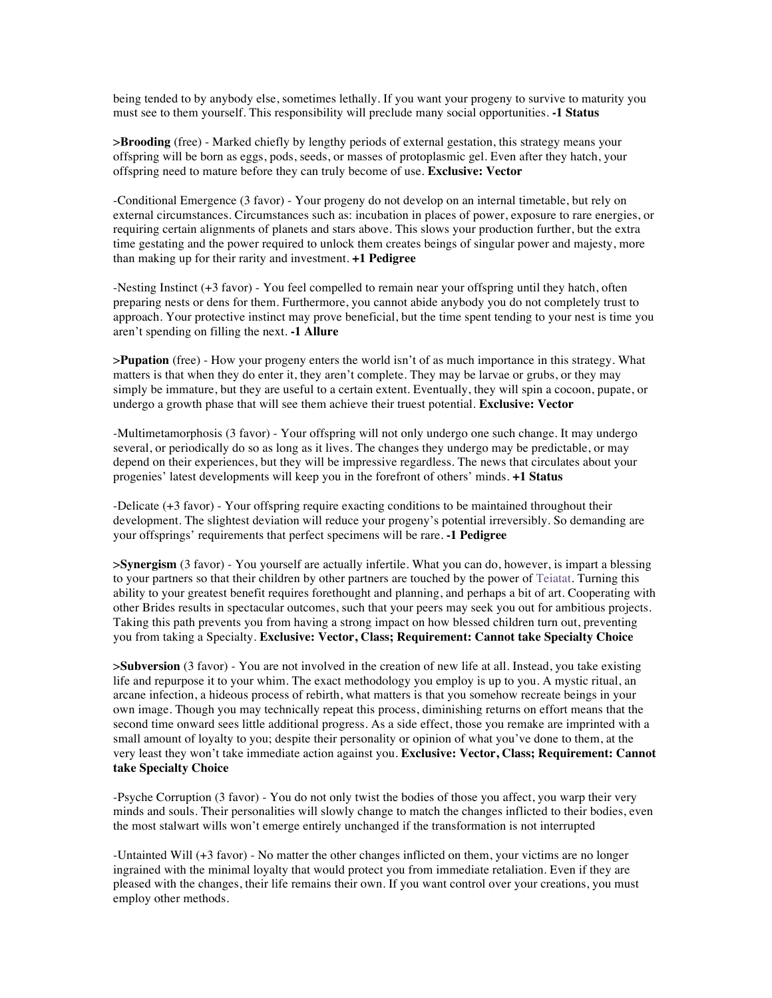being tended to by anybody else, sometimes lethally. If you want your progeny to survive to maturity you must see to them yourself. This responsibility will preclude many social opportunities. **-1 Status** 

>**Brooding** (free) - Marked chiefly by lengthy periods of external gestation, this strategy means your offspring will be born as eggs, pods, seeds, or masses of protoplasmic gel. Even after they hatch, your offspring need to mature before they can truly become of use. **Exclusive: Vector**

-Conditional Emergence (3 favor) - Your progeny do not develop on an internal timetable, but rely on external circumstances. Circumstances such as: incubation in places of power, exposure to rare energies, or requiring certain alignments of planets and stars above. This slows your production further, but the extra time gestating and the power required to unlock them creates beings of singular power and majesty, more than making up for their rarity and investment. **+1 Pedigree**

-Nesting Instinct (+3 favor) - You feel compelled to remain near your offspring until they hatch, often preparing nests or dens for them. Furthermore, you cannot abide anybody you do not completely trust to approach. Your protective instinct may prove beneficial, but the time spent tending to your nest is time you aren't spending on filling the next. **-1 Allure**

>**Pupation** (free) - How your progeny enters the world isn't of as much importance in this strategy. What matters is that when they do enter it, they aren't complete. They may be larvae or grubs, or they may simply be immature, but they are useful to a certain extent. Eventually, they will spin a cocoon, pupate, or undergo a growth phase that will see them achieve their truest potential. **Exclusive: Vector**

-Multimetamorphosis (3 favor) - Your offspring will not only undergo one such change. It may undergo several, or periodically do so as long as it lives. The changes they undergo may be predictable, or may depend on their experiences, but they will be impressive regardless. The news that circulates about your progenies' latest developments will keep you in the forefront of others' minds. **+1 Status**

-Delicate (+3 favor) - Your offspring require exacting conditions to be maintained throughout their development. The slightest deviation will reduce your progeny's potential irreversibly. So demanding are your offsprings' requirements that perfect specimens will be rare. **-1 Pedigree**

>**Synergism** (3 favor) - You yourself are actually infertile. What you can do, however, is impart a blessing to your partners so that their children by other partners are touched by the power of Teiatat. Turning this ability to your greatest benefit requires forethought and planning, and perhaps a bit of art. Cooperating with other Brides results in spectacular outcomes, such that your peers may seek you out for ambitious projects. Taking this path prevents you from having a strong impact on how blessed children turn out, preventing you from taking a Specialty. **Exclusive: Vector, Class; Requirement: Cannot take Specialty Choice**

>**Subversion** (3 favor) - You are not involved in the creation of new life at all. Instead, you take existing life and repurpose it to your whim. The exact methodology you employ is up to you. A mystic ritual, an arcane infection, a hideous process of rebirth, what matters is that you somehow recreate beings in your own image. Though you may technically repeat this process, diminishing returns on effort means that the second time onward sees little additional progress. As a side effect, those you remake are imprinted with a small amount of loyalty to you; despite their personality or opinion of what you've done to them, at the very least they won't take immediate action against you. **Exclusive: Vector, Class; Requirement: Cannot take Specialty Choice**

-Psyche Corruption (3 favor) - You do not only twist the bodies of those you affect, you warp their very minds and souls. Their personalities will slowly change to match the changes inflicted to their bodies, even the most stalwart wills won't emerge entirely unchanged if the transformation is not interrupted

-Untainted Will (+3 favor) - No matter the other changes inflicted on them, your victims are no longer ingrained with the minimal loyalty that would protect you from immediate retaliation. Even if they are pleased with the changes, their life remains their own. If you want control over your creations, you must employ other methods.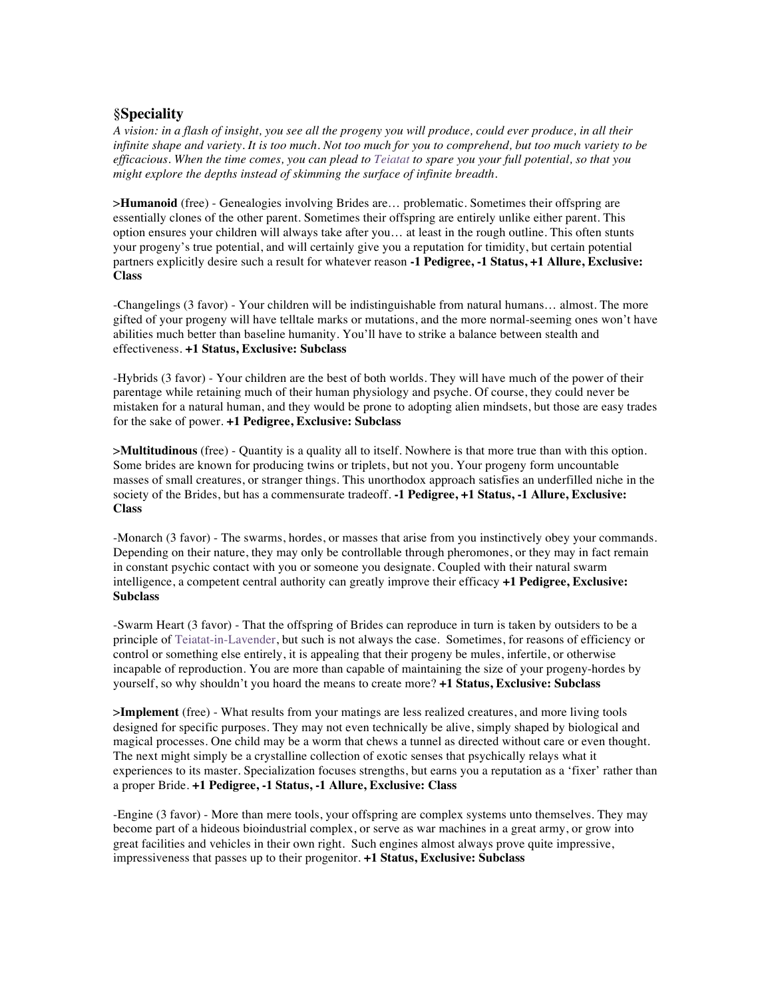### §**Speciality**

*A vision: in a flash of insight, you see all the progeny you will produce, could ever produce, in all their infinite shape and variety. It is too much. Not too much for you to comprehend, but too much variety to be efficacious. When the time comes, you can plead to Teiatat to spare you your full potential, so that you might explore the depths instead of skimming the surface of infinite breadth.*

>**Humanoid** (free) - Genealogies involving Brides are… problematic. Sometimes their offspring are essentially clones of the other parent. Sometimes their offspring are entirely unlike either parent. This option ensures your children will always take after you… at least in the rough outline. This often stunts your progeny's true potential, and will certainly give you a reputation for timidity, but certain potential partners explicitly desire such a result for whatever reason **-1 Pedigree, -1 Status, +1 Allure, Exclusive: Class**

-Changelings (3 favor) - Your children will be indistinguishable from natural humans… almost. The more gifted of your progeny will have telltale marks or mutations, and the more normal-seeming ones won't have abilities much better than baseline humanity. You'll have to strike a balance between stealth and effectiveness. **+1 Status, Exclusive: Subclass**

-Hybrids (3 favor) - Your children are the best of both worlds. They will have much of the power of their parentage while retaining much of their human physiology and psyche. Of course, they could never be mistaken for a natural human, and they would be prone to adopting alien mindsets, but those are easy trades for the sake of power. **+1 Pedigree, Exclusive: Subclass**

>**Multitudinous** (free) - Quantity is a quality all to itself. Nowhere is that more true than with this option. Some brides are known for producing twins or triplets, but not you. Your progeny form uncountable masses of small creatures, or stranger things. This unorthodox approach satisfies an underfilled niche in the society of the Brides, but has a commensurate tradeoff. **-1 Pedigree, +1 Status, -1 Allure, Exclusive: Class**

-Monarch (3 favor) - The swarms, hordes, or masses that arise from you instinctively obey your commands. Depending on their nature, they may only be controllable through pheromones, or they may in fact remain in constant psychic contact with you or someone you designate. Coupled with their natural swarm intelligence, a competent central authority can greatly improve their efficacy **+1 Pedigree, Exclusive: Subclass**

-Swarm Heart (3 favor) - That the offspring of Brides can reproduce in turn is taken by outsiders to be a principle of Teiatat-in-Lavender, but such is not always the case. Sometimes, for reasons of efficiency or control or something else entirely, it is appealing that their progeny be mules, infertile, or otherwise incapable of reproduction. You are more than capable of maintaining the size of your progeny-hordes by yourself, so why shouldn't you hoard the means to create more? **+1 Status, Exclusive: Subclass**

>**Implement** (free) - What results from your matings are less realized creatures, and more living tools designed for specific purposes. They may not even technically be alive, simply shaped by biological and magical processes. One child may be a worm that chews a tunnel as directed without care or even thought. The next might simply be a crystalline collection of exotic senses that psychically relays what it experiences to its master. Specialization focuses strengths, but earns you a reputation as a 'fixer' rather than a proper Bride. **+1 Pedigree, -1 Status, -1 Allure, Exclusive: Class**

-Engine (3 favor) - More than mere tools, your offspring are complex systems unto themselves. They may become part of a hideous bioindustrial complex, or serve as war machines in a great army, or grow into great facilities and vehicles in their own right. Such engines almost always prove quite impressive, impressiveness that passes up to their progenitor. **+1 Status, Exclusive: Subclass**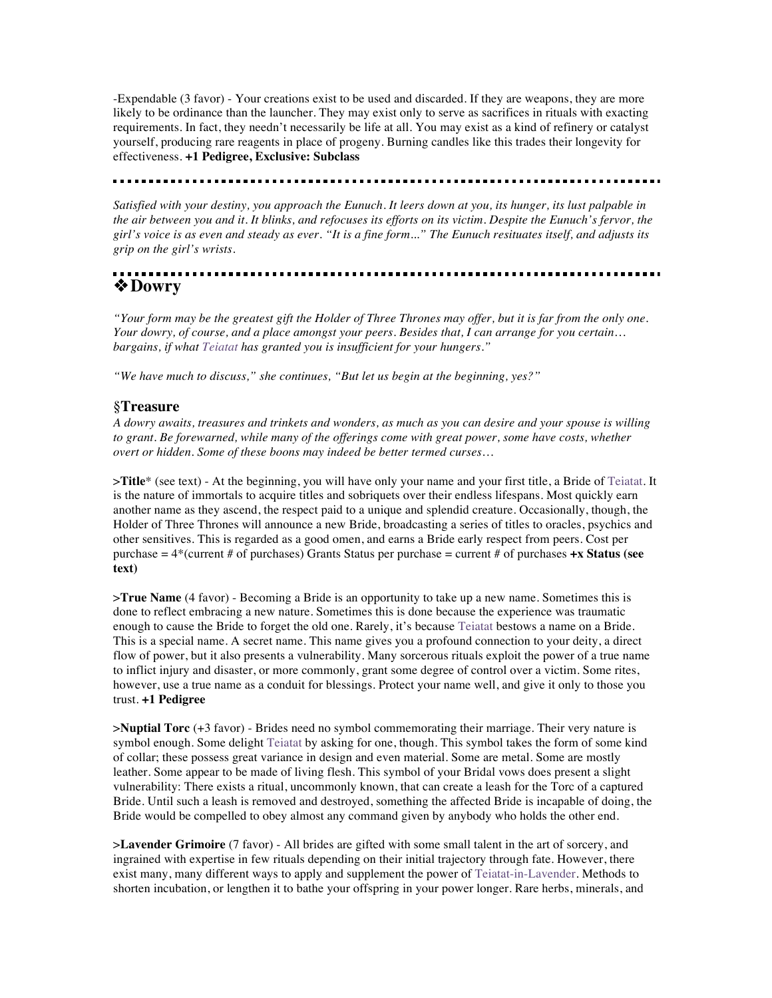-Expendable (3 favor) - Your creations exist to be used and discarded. If they are weapons, they are more likely to be ordinance than the launcher. They may exist only to serve as sacrifices in rituals with exacting requirements. In fact, they needn't necessarily be life at all. You may exist as a kind of refinery or catalyst yourself, producing rare reagents in place of progeny. Burning candles like this trades their longevity for effectiveness. **+1 Pedigree, Exclusive: Subclass**

*Satisfied with your destiny, you approach the Eunuch. It leers down at you, its hunger, its lust palpable in the air between you and it. It blinks, and refocuses its efforts on its victim. Despite the Eunuch's fervor, the girl's voice is as even and steady as ever. "It is a fine form..." The Eunuch resituates itself, and adjusts its grip on the girl's wrists.*

# !**Dowry**

*"Your form may be the greatest gift the Holder of Three Thrones may offer, but it is far from the only one. Your dowry, of course, and a place amongst your peers. Besides that, I can arrange for you certain… bargains, if what Teiatat has granted you is insufficient for your hungers."*

*"We have much to discuss," she continues, "But let us begin at the beginning, yes?"*

### §**Treasure**

*A dowry awaits, treasures and trinkets and wonders, as much as you can desire and your spouse is willing to grant. Be forewarned, while many of the offerings come with great power, some have costs, whether overt or hidden. Some of these boons may indeed be better termed curses…*

>**Title**\* (see text) - At the beginning, you will have only your name and your first title, a Bride of Teiatat. It is the nature of immortals to acquire titles and sobriquets over their endless lifespans. Most quickly earn another name as they ascend, the respect paid to a unique and splendid creature. Occasionally, though, the Holder of Three Thrones will announce a new Bride, broadcasting a series of titles to oracles, psychics and other sensitives. This is regarded as a good omen, and earns a Bride early respect from peers. Cost per purchase = 4\*(current # of purchases) Grants Status per purchase = current # of purchases **+x Status (see text)**

>**True Name** (4 favor) - Becoming a Bride is an opportunity to take up a new name. Sometimes this is done to reflect embracing a new nature. Sometimes this is done because the experience was traumatic enough to cause the Bride to forget the old one. Rarely, it's because Teiatat bestows a name on a Bride. This is a special name. A secret name. This name gives you a profound connection to your deity, a direct flow of power, but it also presents a vulnerability. Many sorcerous rituals exploit the power of a true name to inflict injury and disaster, or more commonly, grant some degree of control over a victim. Some rites, however, use a true name as a conduit for blessings. Protect your name well, and give it only to those you trust. **+1 Pedigree**

>**Nuptial Torc** (+3 favor) - Brides need no symbol commemorating their marriage. Their very nature is symbol enough. Some delight Teiatat by asking for one, though. This symbol takes the form of some kind of collar; these possess great variance in design and even material. Some are metal. Some are mostly leather. Some appear to be made of living flesh. This symbol of your Bridal vows does present a slight vulnerability: There exists a ritual, uncommonly known, that can create a leash for the Torc of a captured Bride. Until such a leash is removed and destroyed, something the affected Bride is incapable of doing, the Bride would be compelled to obey almost any command given by anybody who holds the other end.

>**Lavender Grimoire** (7 favor) - All brides are gifted with some small talent in the art of sorcery, and ingrained with expertise in few rituals depending on their initial trajectory through fate. However, there exist many, many different ways to apply and supplement the power of Teiatat-in-Lavender. Methods to shorten incubation, or lengthen it to bathe your offspring in your power longer. Rare herbs, minerals, and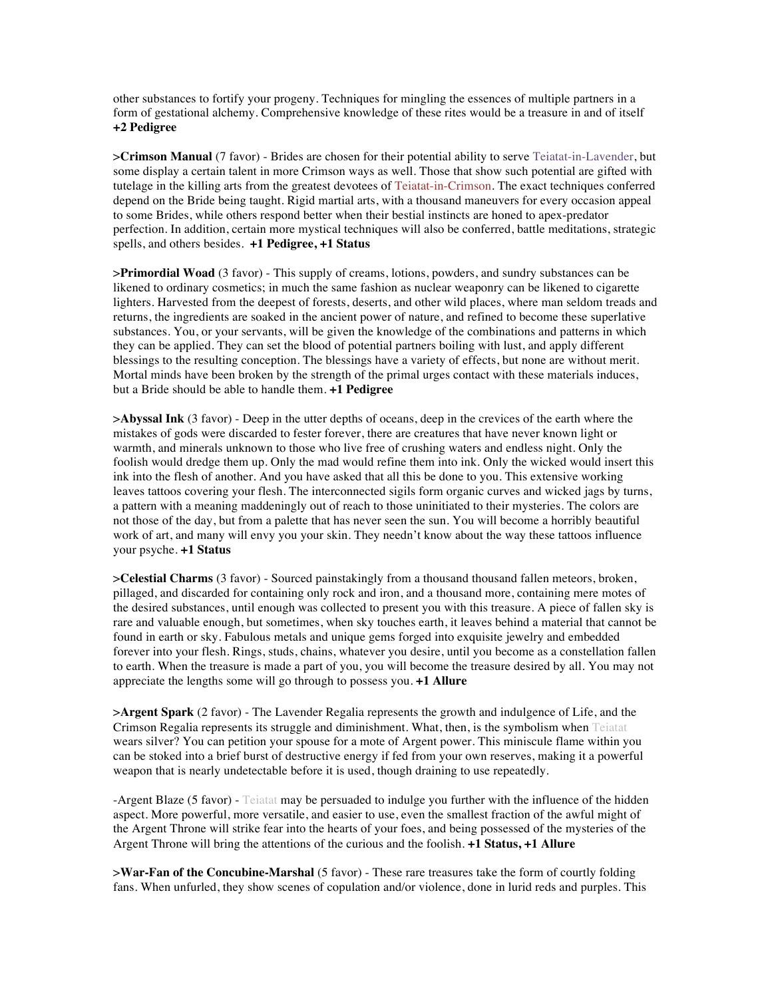other substances to fortify your progeny. Techniques for mingling the essences of multiple partners in a form of gestational alchemy. Comprehensive knowledge of these rites would be a treasure in and of itself **+2 Pedigree**

>**Crimson Manual** (7 favor) - Brides are chosen for their potential ability to serve Teiatat-in-Lavender, but some display a certain talent in more Crimson ways as well. Those that show such potential are gifted with tutelage in the killing arts from the greatest devotees of Teiatat-in-Crimson. The exact techniques conferred depend on the Bride being taught. Rigid martial arts, with a thousand maneuvers for every occasion appeal to some Brides, while others respond better when their bestial instincts are honed to apex-predator perfection. In addition, certain more mystical techniques will also be conferred, battle meditations, strategic spells, and others besides. **+1 Pedigree, +1 Status**

>**Primordial Woad** (3 favor) - This supply of creams, lotions, powders, and sundry substances can be likened to ordinary cosmetics; in much the same fashion as nuclear weaponry can be likened to cigarette lighters. Harvested from the deepest of forests, deserts, and other wild places, where man seldom treads and returns, the ingredients are soaked in the ancient power of nature, and refined to become these superlative substances. You, or your servants, will be given the knowledge of the combinations and patterns in which they can be applied. They can set the blood of potential partners boiling with lust, and apply different blessings to the resulting conception. The blessings have a variety of effects, but none are without merit. Mortal minds have been broken by the strength of the primal urges contact with these materials induces, but a Bride should be able to handle them. **+1 Pedigree**

>**Abyssal Ink** (3 favor) - Deep in the utter depths of oceans, deep in the crevices of the earth where the mistakes of gods were discarded to fester forever, there are creatures that have never known light or warmth, and minerals unknown to those who live free of crushing waters and endless night. Only the foolish would dredge them up. Only the mad would refine them into ink. Only the wicked would insert this ink into the flesh of another. And you have asked that all this be done to you. This extensive working leaves tattoos covering your flesh. The interconnected sigils form organic curves and wicked jags by turns, a pattern with a meaning maddeningly out of reach to those uninitiated to their mysteries. The colors are not those of the day, but from a palette that has never seen the sun. You will become a horribly beautiful work of art, and many will envy you your skin. They needn't know about the way these tattoos influence your psyche. **+1 Status**

>**Celestial Charms** (3 favor) - Sourced painstakingly from a thousand thousand fallen meteors, broken, pillaged, and discarded for containing only rock and iron, and a thousand more, containing mere motes of the desired substances, until enough was collected to present you with this treasure. A piece of fallen sky is rare and valuable enough, but sometimes, when sky touches earth, it leaves behind a material that cannot be found in earth or sky. Fabulous metals and unique gems forged into exquisite jewelry and embedded forever into your flesh. Rings, studs, chains, whatever you desire, until you become as a constellation fallen to earth. When the treasure is made a part of you, you will become the treasure desired by all. You may not appreciate the lengths some will go through to possess you. **+1 Allure**

>**Argent Spark** (2 favor) - The Lavender Regalia represents the growth and indulgence of Life, and the Crimson Regalia represents its struggle and diminishment. What, then, is the symbolism when Teiatat wears silver? You can petition your spouse for a mote of Argent power. This miniscule flame within you can be stoked into a brief burst of destructive energy if fed from your own reserves, making it a powerful weapon that is nearly undetectable before it is used, though draining to use repeatedly.

-Argent Blaze (5 favor) - Teiatat may be persuaded to indulge you further with the influence of the hidden aspect. More powerful, more versatile, and easier to use, even the smallest fraction of the awful might of the Argent Throne will strike fear into the hearts of your foes, and being possessed of the mysteries of the Argent Throne will bring the attentions of the curious and the foolish. **+1 Status, +1 Allure**

>**War-Fan of the Concubine-Marshal** (5 favor) - These rare treasures take the form of courtly folding fans. When unfurled, they show scenes of copulation and/or violence, done in lurid reds and purples. This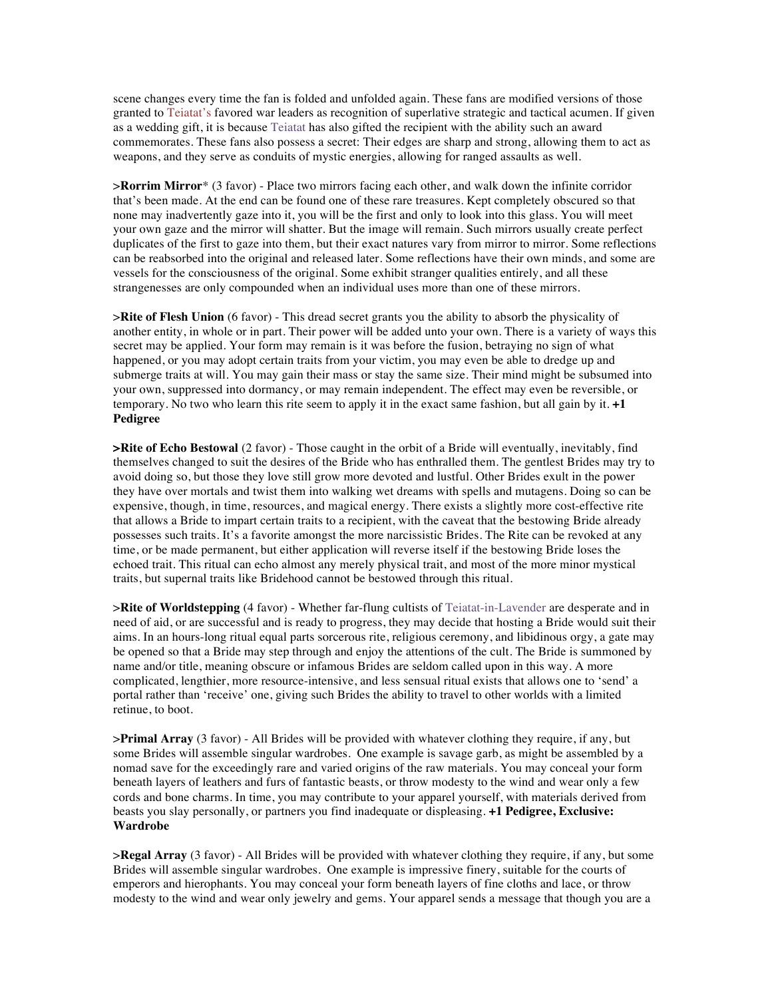scene changes every time the fan is folded and unfolded again. These fans are modified versions of those granted to Teiatat's favored war leaders as recognition of superlative strategic and tactical acumen. If given as a wedding gift, it is because Teiatat has also gifted the recipient with the ability such an award commemorates. These fans also possess a secret: Their edges are sharp and strong, allowing them to act as weapons, and they serve as conduits of mystic energies, allowing for ranged assaults as well.

>**Rorrim Mirror**\* (3 favor) - Place two mirrors facing each other, and walk down the infinite corridor that's been made. At the end can be found one of these rare treasures. Kept completely obscured so that none may inadvertently gaze into it, you will be the first and only to look into this glass. You will meet your own gaze and the mirror will shatter. But the image will remain. Such mirrors usually create perfect duplicates of the first to gaze into them, but their exact natures vary from mirror to mirror. Some reflections can be reabsorbed into the original and released later. Some reflections have their own minds, and some are vessels for the consciousness of the original. Some exhibit stranger qualities entirely, and all these strangenesses are only compounded when an individual uses more than one of these mirrors.

>**Rite of Flesh Union** (6 favor) - This dread secret grants you the ability to absorb the physicality of another entity, in whole or in part. Their power will be added unto your own. There is a variety of ways this secret may be applied. Your form may remain is it was before the fusion, betraying no sign of what happened, or you may adopt certain traits from your victim, you may even be able to dredge up and submerge traits at will. You may gain their mass or stay the same size. Their mind might be subsumed into your own, suppressed into dormancy, or may remain independent. The effect may even be reversible, or temporary. No two who learn this rite seem to apply it in the exact same fashion, but all gain by it. **+1 Pedigree**

**>Rite of Echo Bestowal** (2 favor) - Those caught in the orbit of a Bride will eventually, inevitably, find themselves changed to suit the desires of the Bride who has enthralled them. The gentlest Brides may try to avoid doing so, but those they love still grow more devoted and lustful. Other Brides exult in the power they have over mortals and twist them into walking wet dreams with spells and mutagens. Doing so can be expensive, though, in time, resources, and magical energy. There exists a slightly more cost-effective rite that allows a Bride to impart certain traits to a recipient, with the caveat that the bestowing Bride already possesses such traits. It's a favorite amongst the more narcissistic Brides. The Rite can be revoked at any time, or be made permanent, but either application will reverse itself if the bestowing Bride loses the echoed trait. This ritual can echo almost any merely physical trait, and most of the more minor mystical traits, but supernal traits like Bridehood cannot be bestowed through this ritual.

>**Rite of Worldstepping** (4 favor) - Whether far-flung cultists of Teiatat-in-Lavender are desperate and in need of aid, or are successful and is ready to progress, they may decide that hosting a Bride would suit their aims. In an hours-long ritual equal parts sorcerous rite, religious ceremony, and libidinous orgy, a gate may be opened so that a Bride may step through and enjoy the attentions of the cult. The Bride is summoned by name and/or title, meaning obscure or infamous Brides are seldom called upon in this way. A more complicated, lengthier, more resource-intensive, and less sensual ritual exists that allows one to 'send' a portal rather than 'receive' one, giving such Brides the ability to travel to other worlds with a limited retinue, to boot.

>**Primal Array** (3 favor) - All Brides will be provided with whatever clothing they require, if any, but some Brides will assemble singular wardrobes. One example is savage garb, as might be assembled by a nomad save for the exceedingly rare and varied origins of the raw materials. You may conceal your form beneath layers of leathers and furs of fantastic beasts, or throw modesty to the wind and wear only a few cords and bone charms. In time, you may contribute to your apparel yourself, with materials derived from beasts you slay personally, or partners you find inadequate or displeasing. **+1 Pedigree, Exclusive: Wardrobe**

>**Regal Array** (3 favor) - All Brides will be provided with whatever clothing they require, if any, but some Brides will assemble singular wardrobes. One example is impressive finery, suitable for the courts of emperors and hierophants. You may conceal your form beneath layers of fine cloths and lace, or throw modesty to the wind and wear only jewelry and gems. Your apparel sends a message that though you are a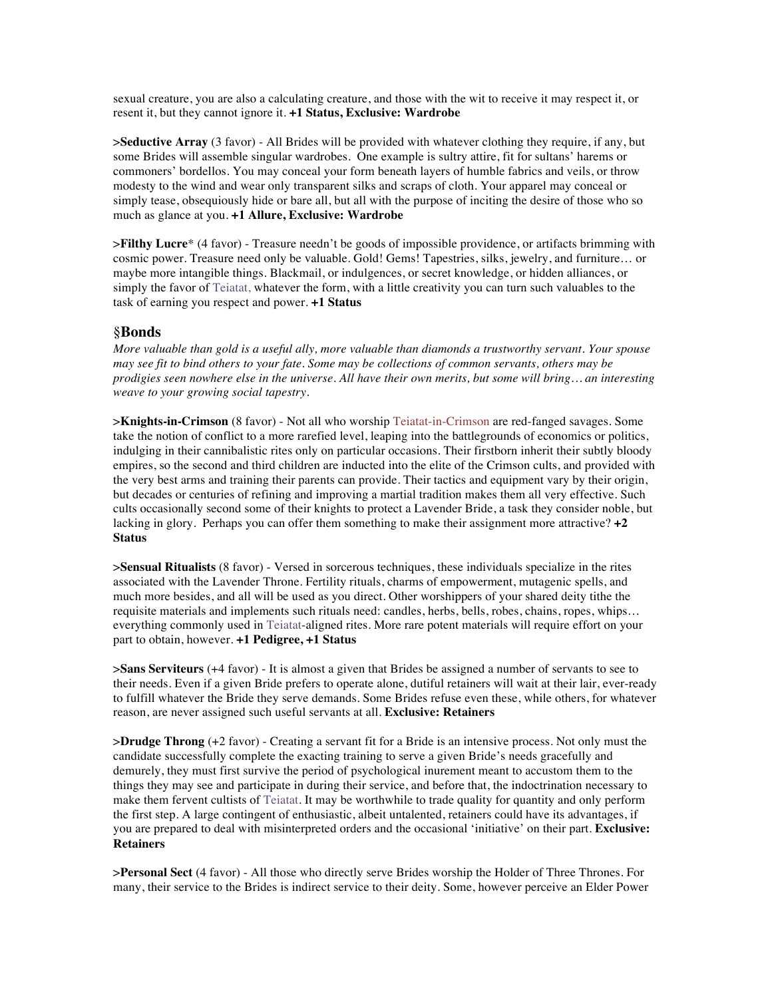sexual creature, you are also a calculating creature, and those with the wit to receive it may respect it, or resent it, but they cannot ignore it. **+1 Status, Exclusive: Wardrobe**

>**Seductive Array** (3 favor) - All Brides will be provided with whatever clothing they require, if any, but some Brides will assemble singular wardrobes. One example is sultry attire, fit for sultans' harems or commoners' bordellos. You may conceal your form beneath layers of humble fabrics and veils, or throw modesty to the wind and wear only transparent silks and scraps of cloth. Your apparel may conceal or simply tease, obsequiously hide or bare all, but all with the purpose of inciting the desire of those who so much as glance at you. **+1 Allure, Exclusive: Wardrobe**

>**Filthy Lucre**\* (4 favor) - Treasure needn't be goods of impossible providence, or artifacts brimming with cosmic power. Treasure need only be valuable. Gold! Gems! Tapestries, silks, jewelry, and furniture… or maybe more intangible things. Blackmail, or indulgences, or secret knowledge, or hidden alliances, or simply the favor of Teiatat, whatever the form, with a little creativity you can turn such valuables to the task of earning you respect and power. **+1 Status**

### §**Bonds**

*More valuable than gold is a useful ally, more valuable than diamonds a trustworthy servant. Your spouse may see fit to bind others to your fate. Some may be collections of common servants, others may be prodigies seen nowhere else in the universe. All have their own merits, but some will bring… an interesting weave to your growing social tapestry.*

>**Knights-in-Crimson** (8 favor) - Not all who worship Teiatat-in-Crimson are red-fanged savages. Some take the notion of conflict to a more rarefied level, leaping into the battlegrounds of economics or politics, indulging in their cannibalistic rites only on particular occasions. Their firstborn inherit their subtly bloody empires, so the second and third children are inducted into the elite of the Crimson cults, and provided with the very best arms and training their parents can provide. Their tactics and equipment vary by their origin, but decades or centuries of refining and improving a martial tradition makes them all very effective. Such cults occasionally second some of their knights to protect a Lavender Bride, a task they consider noble, but lacking in glory. Perhaps you can offer them something to make their assignment more attractive? **+2 Status**

>**Sensual Ritualists** (8 favor) - Versed in sorcerous techniques, these individuals specialize in the rites associated with the Lavender Throne. Fertility rituals, charms of empowerment, mutagenic spells, and much more besides, and all will be used as you direct. Other worshippers of your shared deity tithe the requisite materials and implements such rituals need: candles, herbs, bells, robes, chains, ropes, whips… everything commonly used in Teiatat-aligned rites. More rare potent materials will require effort on your part to obtain, however. **+1 Pedigree, +1 Status**

>**Sans Serviteurs** (+4 favor) - It is almost a given that Brides be assigned a number of servants to see to their needs. Even if a given Bride prefers to operate alone, dutiful retainers will wait at their lair, ever-ready to fulfill whatever the Bride they serve demands. Some Brides refuse even these, while others, for whatever reason, are never assigned such useful servants at all. **Exclusive: Retainers**

>**Drudge Throng** (+2 favor) - Creating a servant fit for a Bride is an intensive process. Not only must the candidate successfully complete the exacting training to serve a given Bride's needs gracefully and demurely, they must first survive the period of psychological inurement meant to accustom them to the things they may see and participate in during their service, and before that, the indoctrination necessary to make them fervent cultists of Teiatat. It may be worthwhile to trade quality for quantity and only perform the first step. A large contingent of enthusiastic, albeit untalented, retainers could have its advantages, if you are prepared to deal with misinterpreted orders and the occasional 'initiative' on their part. **Exclusive: Retainers**

>**Personal Sect** (4 favor) - All those who directly serve Brides worship the Holder of Three Thrones. For many, their service to the Brides is indirect service to their deity. Some, however perceive an Elder Power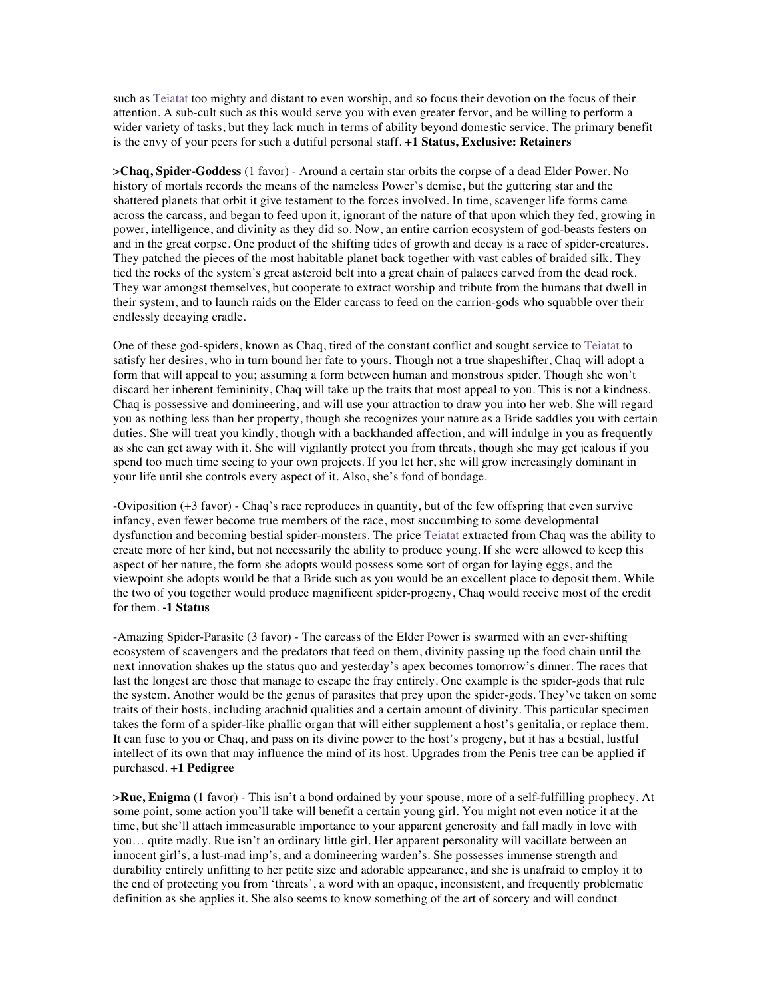such as Teiatat too mighty and distant to even worship, and so focus their devotion on the focus of their attention. A sub-cult such as this would serve you with even greater fervor, and be willing to perform a wider variety of tasks, but they lack much in terms of ability beyond domestic service. The primary benefit is the envy of your peers for such a dutiful personal staff. **+1 Status, Exclusive: Retainers**

>**Chaq, Spider-Goddess** (1 favor) - Around a certain star orbits the corpse of a dead Elder Power. No history of mortals records the means of the nameless Power's demise, but the guttering star and the shattered planets that orbit it give testament to the forces involved. In time, scavenger life forms came across the carcass, and began to feed upon it, ignorant of the nature of that upon which they fed, growing in power, intelligence, and divinity as they did so. Now, an entire carrion ecosystem of god-beasts festers on and in the great corpse. One product of the shifting tides of growth and decay is a race of spider-creatures. They patched the pieces of the most habitable planet back together with vast cables of braided silk. They tied the rocks of the system's great asteroid belt into a great chain of palaces carved from the dead rock. They war amongst themselves, but cooperate to extract worship and tribute from the humans that dwell in their system, and to launch raids on the Elder carcass to feed on the carrion-gods who squabble over their endlessly decaying cradle.

One of these god-spiders, known as Chaq, tired of the constant conflict and sought service to Teiatat to satisfy her desires, who in turn bound her fate to yours. Though not a true shapeshifter, Chaq will adopt a form that will appeal to you; assuming a form between human and monstrous spider. Though she won't discard her inherent femininity, Chaq will take up the traits that most appeal to you. This is not a kindness. Chaq is possessive and domineering, and will use your attraction to draw you into her web. She will regard you as nothing less than her property, though she recognizes your nature as a Bride saddles you with certain duties. She will treat you kindly, though with a backhanded affection, and will indulge in you as frequently as she can get away with it. She will vigilantly protect you from threats, though she may get jealous if you spend too much time seeing to your own projects. If you let her, she will grow increasingly dominant in your life until she controls every aspect of it. Also, she's fond of bondage.

-Oviposition (+3 favor) - Chaq's race reproduces in quantity, but of the few offspring that even survive infancy, even fewer become true members of the race, most succumbing to some developmental dysfunction and becoming bestial spider-monsters. The price Teiatat extracted from Chaq was the ability to create more of her kind, but not necessarily the ability to produce young. If she were allowed to keep this aspect of her nature, the form she adopts would possess some sort of organ for laying eggs, and the viewpoint she adopts would be that a Bride such as you would be an excellent place to deposit them. While the two of you together would produce magnificent spider-progeny, Chaq would receive most of the credit for them. **-1 Status**

-Amazing Spider-Parasite (3 favor) - The carcass of the Elder Power is swarmed with an ever-shifting ecosystem of scavengers and the predators that feed on them, divinity passing up the food chain until the next innovation shakes up the status quo and yesterday's apex becomes tomorrow's dinner. The races that last the longest are those that manage to escape the fray entirely. One example is the spider-gods that rule the system. Another would be the genus of parasites that prey upon the spider-gods. They've taken on some traits of their hosts, including arachnid qualities and a certain amount of divinity. This particular specimen takes the form of a spider-like phallic organ that will either supplement a host's genitalia, or replace them. It can fuse to you or Chaq, and pass on its divine power to the host's progeny, but it has a bestial, lustful intellect of its own that may influence the mind of its host. Upgrades from the Penis tree can be applied if purchased. **+1 Pedigree**

>**Rue, Enigma** (1 favor) - This isn't a bond ordained by your spouse, more of a self-fulfilling prophecy. At some point, some action you'll take will benefit a certain young girl. You might not even notice it at the time, but she'll attach immeasurable importance to your apparent generosity and fall madly in love with you… quite madly. Rue isn't an ordinary little girl. Her apparent personality will vacillate between an innocent girl's, a lust-mad imp's, and a domineering warden's. She possesses immense strength and durability entirely unfitting to her petite size and adorable appearance, and she is unafraid to employ it to the end of protecting you from 'threats', a word with an opaque, inconsistent, and frequently problematic definition as she applies it. She also seems to know something of the art of sorcery and will conduct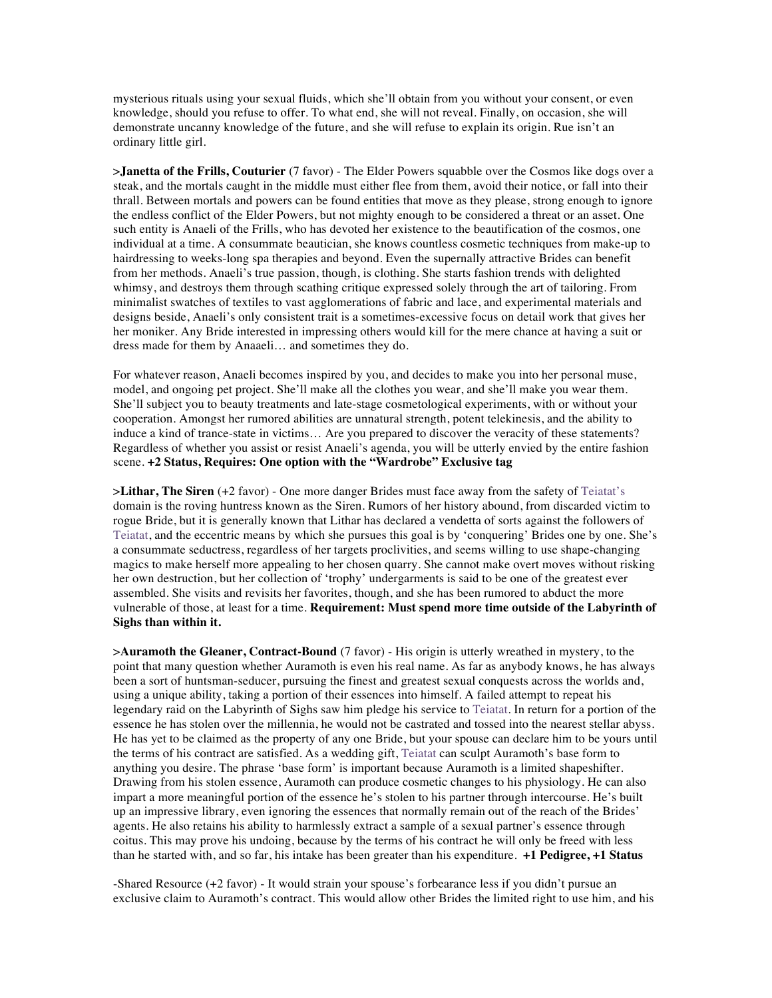mysterious rituals using your sexual fluids, which she'll obtain from you without your consent, or even knowledge, should you refuse to offer. To what end, she will not reveal. Finally, on occasion, she will demonstrate uncanny knowledge of the future, and she will refuse to explain its origin. Rue isn't an ordinary little girl.

>**Janetta of the Frills, Couturier** (7 favor) - The Elder Powers squabble over the Cosmos like dogs over a steak, and the mortals caught in the middle must either flee from them, avoid their notice, or fall into their thrall. Between mortals and powers can be found entities that move as they please, strong enough to ignore the endless conflict of the Elder Powers, but not mighty enough to be considered a threat or an asset. One such entity is Anaeli of the Frills, who has devoted her existence to the beautification of the cosmos, one individual at a time. A consummate beautician, she knows countless cosmetic techniques from make-up to hairdressing to weeks-long spa therapies and beyond. Even the supernally attractive Brides can benefit from her methods. Anaeli's true passion, though, is clothing. She starts fashion trends with delighted whimsy, and destroys them through scathing critique expressed solely through the art of tailoring. From minimalist swatches of textiles to vast agglomerations of fabric and lace, and experimental materials and designs beside, Anaeli's only consistent trait is a sometimes-excessive focus on detail work that gives her her moniker. Any Bride interested in impressing others would kill for the mere chance at having a suit or dress made for them by Anaaeli… and sometimes they do.

For whatever reason, Anaeli becomes inspired by you, and decides to make you into her personal muse, model, and ongoing pet project. She'll make all the clothes you wear, and she'll make you wear them. She'll subject you to beauty treatments and late-stage cosmetological experiments, with or without your cooperation. Amongst her rumored abilities are unnatural strength, potent telekinesis, and the ability to induce a kind of trance-state in victims… Are you prepared to discover the veracity of these statements? Regardless of whether you assist or resist Anaeli's agenda, you will be utterly envied by the entire fashion scene. **+2 Status, Requires: One option with the "Wardrobe" Exclusive tag**

>**Lithar, The Siren** (+2 favor) - One more danger Brides must face away from the safety of Teiatat's domain is the roving huntress known as the Siren. Rumors of her history abound, from discarded victim to rogue Bride, but it is generally known that Lithar has declared a vendetta of sorts against the followers of Teiatat, and the eccentric means by which she pursues this goal is by 'conquering' Brides one by one. She's a consummate seductress, regardless of her targets proclivities, and seems willing to use shape-changing magics to make herself more appealing to her chosen quarry. She cannot make overt moves without risking her own destruction, but her collection of 'trophy' undergarments is said to be one of the greatest ever assembled. She visits and revisits her favorites, though, and she has been rumored to abduct the more vulnerable of those, at least for a time. **Requirement: Must spend more time outside of the Labyrinth of Sighs than within it.**

>**Auramoth the Gleaner, Contract-Bound** (7 favor) - His origin is utterly wreathed in mystery, to the point that many question whether Auramoth is even his real name. As far as anybody knows, he has always been a sort of huntsman-seducer, pursuing the finest and greatest sexual conquests across the worlds and, using a unique ability, taking a portion of their essences into himself. A failed attempt to repeat his legendary raid on the Labyrinth of Sighs saw him pledge his service to Teiatat. In return for a portion of the essence he has stolen over the millennia, he would not be castrated and tossed into the nearest stellar abyss. He has yet to be claimed as the property of any one Bride, but your spouse can declare him to be yours until the terms of his contract are satisfied. As a wedding gift, Teiatat can sculpt Auramoth's base form to anything you desire. The phrase 'base form' is important because Auramoth is a limited shapeshifter. Drawing from his stolen essence, Auramoth can produce cosmetic changes to his physiology. He can also impart a more meaningful portion of the essence he's stolen to his partner through intercourse. He's built up an impressive library, even ignoring the essences that normally remain out of the reach of the Brides' agents. He also retains his ability to harmlessly extract a sample of a sexual partner's essence through coitus. This may prove his undoing, because by the terms of his contract he will only be freed with less than he started with, and so far, his intake has been greater than his expenditure. **+1 Pedigree, +1 Status**

-Shared Resource (+2 favor) - It would strain your spouse's forbearance less if you didn't pursue an exclusive claim to Auramoth's contract. This would allow other Brides the limited right to use him, and his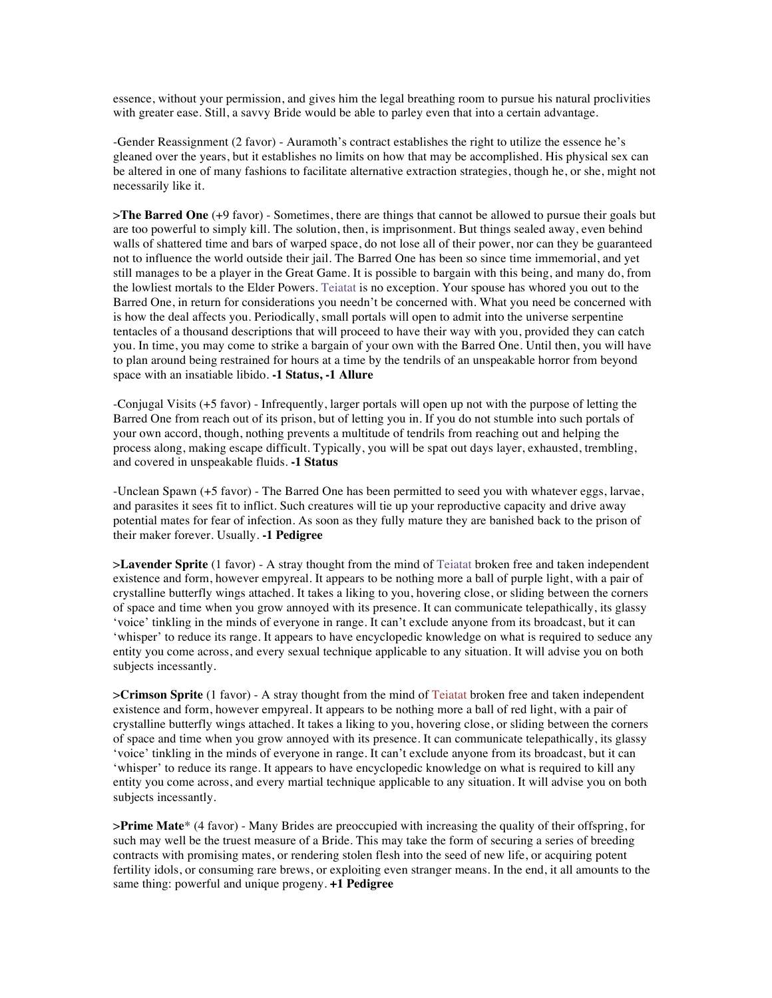essence, without your permission, and gives him the legal breathing room to pursue his natural proclivities with greater ease. Still, a savvy Bride would be able to parley even that into a certain advantage.

-Gender Reassignment (2 favor) - Auramoth's contract establishes the right to utilize the essence he's gleaned over the years, but it establishes no limits on how that may be accomplished. His physical sex can be altered in one of many fashions to facilitate alternative extraction strategies, though he, or she, might not necessarily like it.

>**The Barred One** (+9 favor) - Sometimes, there are things that cannot be allowed to pursue their goals but are too powerful to simply kill. The solution, then, is imprisonment. But things sealed away, even behind walls of shattered time and bars of warped space, do not lose all of their power, nor can they be guaranteed not to influence the world outside their jail. The Barred One has been so since time immemorial, and yet still manages to be a player in the Great Game. It is possible to bargain with this being, and many do, from the lowliest mortals to the Elder Powers. Teiatat is no exception. Your spouse has whored you out to the Barred One, in return for considerations you needn't be concerned with. What you need be concerned with is how the deal affects you. Periodically, small portals will open to admit into the universe serpentine tentacles of a thousand descriptions that will proceed to have their way with you, provided they can catch you. In time, you may come to strike a bargain of your own with the Barred One. Until then, you will have to plan around being restrained for hours at a time by the tendrils of an unspeakable horror from beyond space with an insatiable libido. **-1 Status, -1 Allure**

-Conjugal Visits (+5 favor) - Infrequently, larger portals will open up not with the purpose of letting the Barred One from reach out of its prison, but of letting you in. If you do not stumble into such portals of your own accord, though, nothing prevents a multitude of tendrils from reaching out and helping the process along, making escape difficult. Typically, you will be spat out days layer, exhausted, trembling, and covered in unspeakable fluids. **-1 Status**

-Unclean Spawn (+5 favor) - The Barred One has been permitted to seed you with whatever eggs, larvae, and parasites it sees fit to inflict. Such creatures will tie up your reproductive capacity and drive away potential mates for fear of infection. As soon as they fully mature they are banished back to the prison of their maker forever. Usually. **-1 Pedigree**

>**Lavender Sprite** (1 favor) - A stray thought from the mind of Teiatat broken free and taken independent existence and form, however empyreal. It appears to be nothing more a ball of purple light, with a pair of crystalline butterfly wings attached. It takes a liking to you, hovering close, or sliding between the corners of space and time when you grow annoyed with its presence. It can communicate telepathically, its glassy 'voice' tinkling in the minds of everyone in range. It can't exclude anyone from its broadcast, but it can 'whisper' to reduce its range. It appears to have encyclopedic knowledge on what is required to seduce any entity you come across, and every sexual technique applicable to any situation. It will advise you on both subjects incessantly.

>**Crimson Sprite** (1 favor) - A stray thought from the mind of Teiatat broken free and taken independent existence and form, however empyreal. It appears to be nothing more a ball of red light, with a pair of crystalline butterfly wings attached. It takes a liking to you, hovering close, or sliding between the corners of space and time when you grow annoyed with its presence. It can communicate telepathically, its glassy 'voice' tinkling in the minds of everyone in range. It can't exclude anyone from its broadcast, but it can 'whisper' to reduce its range. It appears to have encyclopedic knowledge on what is required to kill any entity you come across, and every martial technique applicable to any situation. It will advise you on both subjects incessantly.

>**Prime Mate**\* (4 favor) - Many Brides are preoccupied with increasing the quality of their offspring, for such may well be the truest measure of a Bride. This may take the form of securing a series of breeding contracts with promising mates, or rendering stolen flesh into the seed of new life, or acquiring potent fertility idols, or consuming rare brews, or exploiting even stranger means. In the end, it all amounts to the same thing: powerful and unique progeny. **+1 Pedigree**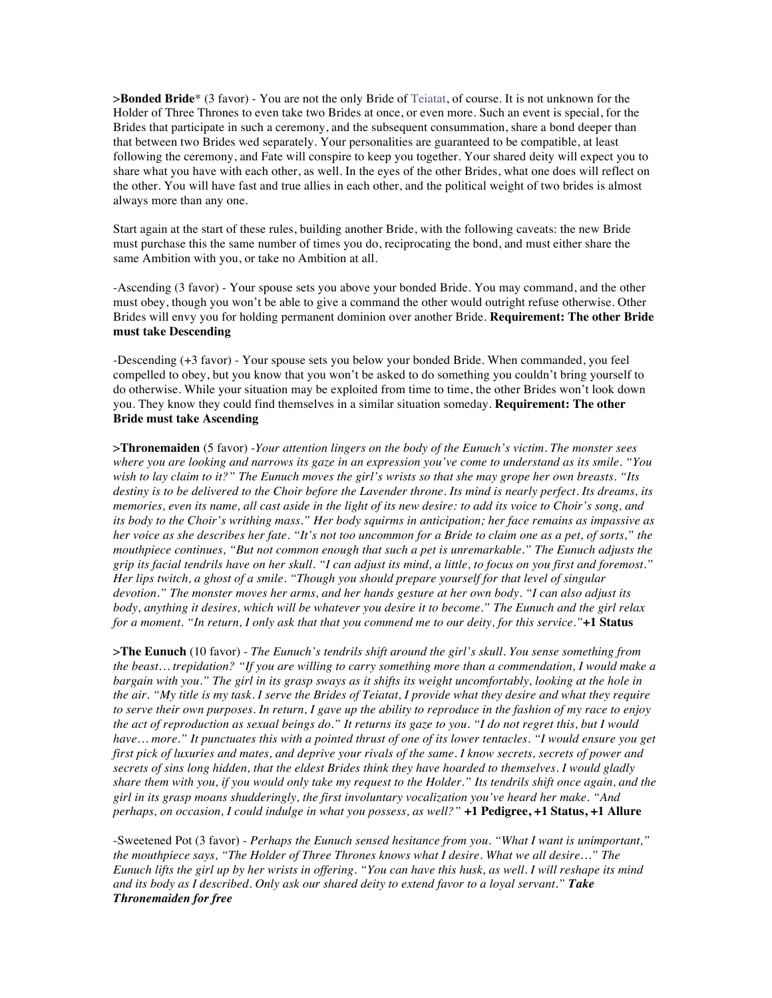>**Bonded Bride**\* (3 favor) - You are not the only Bride of Teiatat, of course. It is not unknown for the Holder of Three Thrones to even take two Brides at once, or even more. Such an event is special, for the Brides that participate in such a ceremony, and the subsequent consummation, share a bond deeper than that between two Brides wed separately. Your personalities are guaranteed to be compatible, at least following the ceremony, and Fate will conspire to keep you together. Your shared deity will expect you to share what you have with each other, as well. In the eyes of the other Brides, what one does will reflect on the other. You will have fast and true allies in each other, and the political weight of two brides is almost always more than any one.

Start again at the start of these rules, building another Bride, with the following caveats: the new Bride must purchase this the same number of times you do, reciprocating the bond, and must either share the same Ambition with you, or take no Ambition at all.

-Ascending (3 favor) - Your spouse sets you above your bonded Bride. You may command, and the other must obey, though you won't be able to give a command the other would outright refuse otherwise. Other Brides will envy you for holding permanent dominion over another Bride. **Requirement: The other Bride must take Descending**

-Descending (+3 favor) - Your spouse sets you below your bonded Bride. When commanded, you feel compelled to obey, but you know that you won't be asked to do something you couldn't bring yourself to do otherwise. While your situation may be exploited from time to time, the other Brides won't look down you. They know they could find themselves in a similar situation someday. **Requirement: The other Bride must take Ascending**

>**Thronemaiden** (5 favor) -*Your attention lingers on the body of the Eunuch's victim. The monster sees where you are looking and narrows its gaze in an expression you've come to understand as its smile. "You wish to lay claim to it?" The Eunuch moves the girl's wrists so that she may grope her own breasts. "Its destiny is to be delivered to the Choir before the Lavender throne. Its mind is nearly perfect. Its dreams, its memories, even its name, all cast aside in the light of its new desire: to add its voice to Choir's song, and its body to the Choir's writhing mass." Her body squirms in anticipation; her face remains as impassive as her voice as she describes her fate. "It's not too uncommon for a Bride to claim one as a pet, of sorts," the mouthpiece continues, "But not common enough that such a pet is unremarkable." The Eunuch adjusts the grip its facial tendrils have on her skull. "I can adjust its mind, a little, to focus on you first and foremost." Her lips twitch, a ghost of a smile. "Though you should prepare yourself for that level of singular devotion." The monster moves her arms, and her hands gesture at her own body. "I can also adjust its body, anything it desires, which will be whatever you desire it to become." The Eunuch and the girl relax for a moment. "In return, I only ask that that you commend me to our deity, for this service."***+1 Status**

>**The Eunuch** (10 favor) - *The Eunuch's tendrils shift around the girl's skull. You sense something from the beast… trepidation? "If you are willing to carry something more than a commendation, I would make a bargain with you." The girl in its grasp sways as it shifts its weight uncomfortably, looking at the hole in the air. "My title is my task. I serve the Brides of Teiatat. I provide what they desire and what they require to serve their own purposes. In return, I gave up the ability to reproduce in the fashion of my race to enjoy the act of reproduction as sexual beings do." It returns its gaze to you. "I do not regret this, but I would have… more." It punctuates this with a pointed thrust of one of its lower tentacles. "I would ensure you get first pick of luxuries and mates, and deprive your rivals of the same. I know secrets, secrets of power and secrets of sins long hidden, that the eldest Brides think they have hoarded to themselves. I would gladly share them with you, if you would only take my request to the Holder." Its tendrils shift once again, and the girl in its grasp moans shudderingly, the first involuntary vocalization you've heard her make. "And perhaps, on occasion, I could indulge in what you possess, as well?"* **+1 Pedigree, +1 Status, +1 Allure**

-Sweetened Pot (3 favor) - *Perhaps the Eunuch sensed hesitance from you. "What I want is unimportant," the mouthpiece says, "The Holder of Three Thrones knows what I desire. What we all desire…" The Eunuch lifts the girl up by her wrists in offering. "You can have this husk, as well. I will reshape its mind and its body as I described. Only ask our shared deity to extend favor to a loyal servant." Take Thronemaiden for free*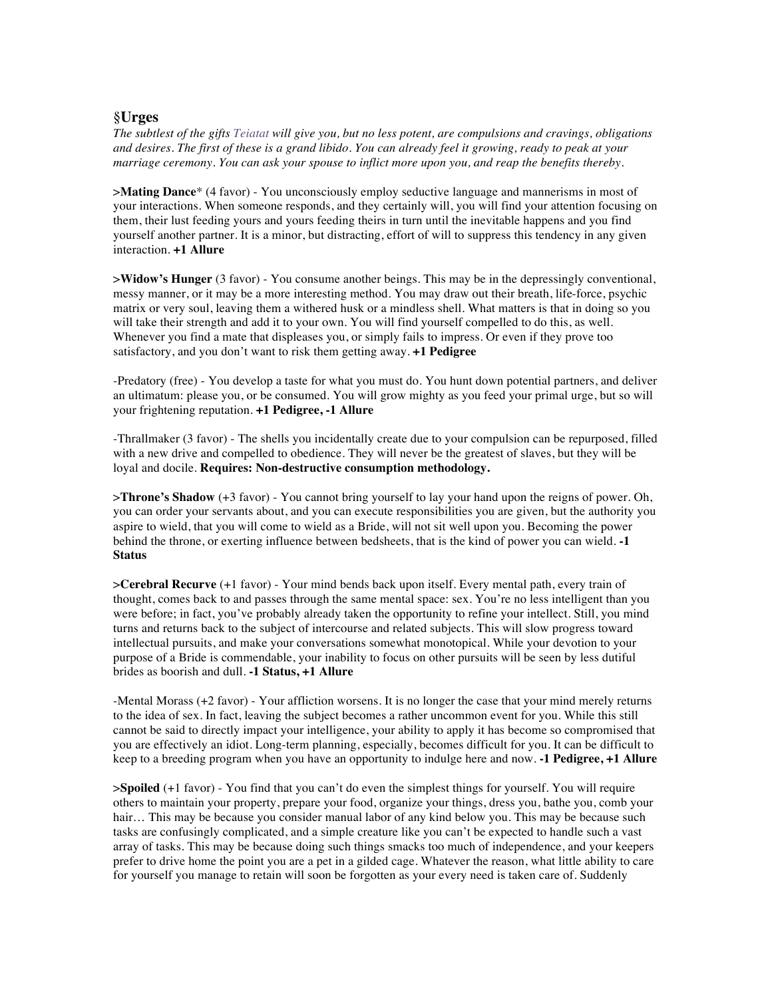### §**Urges**

*The subtlest of the gifts Teiatat will give you, but no less potent, are compulsions and cravings, obligations and desires. The first of these is a grand libido. You can already feel it growing, ready to peak at your marriage ceremony. You can ask your spouse to inflict more upon you, and reap the benefits thereby.*

>**Mating Dance**\* (4 favor) - You unconsciously employ seductive language and mannerisms in most of your interactions. When someone responds, and they certainly will, you will find your attention focusing on them, their lust feeding yours and yours feeding theirs in turn until the inevitable happens and you find yourself another partner. It is a minor, but distracting, effort of will to suppress this tendency in any given interaction. **+1 Allure**

>**Widow's Hunger** (3 favor) - You consume another beings. This may be in the depressingly conventional, messy manner, or it may be a more interesting method. You may draw out their breath, life-force, psychic matrix or very soul, leaving them a withered husk or a mindless shell. What matters is that in doing so you will take their strength and add it to your own. You will find yourself compelled to do this, as well. Whenever you find a mate that displeases you, or simply fails to impress. Or even if they prove too satisfactory, and you don't want to risk them getting away. **+1 Pedigree**

-Predatory (free) - You develop a taste for what you must do. You hunt down potential partners, and deliver an ultimatum: please you, or be consumed. You will grow mighty as you feed your primal urge, but so will your frightening reputation. **+1 Pedigree, -1 Allure**

-Thrallmaker (3 favor) - The shells you incidentally create due to your compulsion can be repurposed, filled with a new drive and compelled to obedience. They will never be the greatest of slaves, but they will be loyal and docile. **Requires: Non-destructive consumption methodology.**

>**Throne's Shadow** (+3 favor) - You cannot bring yourself to lay your hand upon the reigns of power. Oh, you can order your servants about, and you can execute responsibilities you are given, but the authority you aspire to wield, that you will come to wield as a Bride, will not sit well upon you. Becoming the power behind the throne, or exerting influence between bedsheets, that is the kind of power you can wield. **-1 Status**

>**Cerebral Recurve** (+1 favor) - Your mind bends back upon itself. Every mental path, every train of thought, comes back to and passes through the same mental space: sex. You're no less intelligent than you were before; in fact, you've probably already taken the opportunity to refine your intellect. Still, you mind turns and returns back to the subject of intercourse and related subjects. This will slow progress toward intellectual pursuits, and make your conversations somewhat monotopical. While your devotion to your purpose of a Bride is commendable, your inability to focus on other pursuits will be seen by less dutiful brides as boorish and dull. **-1 Status, +1 Allure**

-Mental Morass (+2 favor) - Your affliction worsens. It is no longer the case that your mind merely returns to the idea of sex. In fact, leaving the subject becomes a rather uncommon event for you. While this still cannot be said to directly impact your intelligence, your ability to apply it has become so compromised that you are effectively an idiot. Long-term planning, especially, becomes difficult for you. It can be difficult to keep to a breeding program when you have an opportunity to indulge here and now. **-1 Pedigree, +1 Allure**

>**Spoiled** (+1 favor) - You find that you can't do even the simplest things for yourself. You will require others to maintain your property, prepare your food, organize your things, dress you, bathe you, comb your hair… This may be because you consider manual labor of any kind below you. This may be because such tasks are confusingly complicated, and a simple creature like you can't be expected to handle such a vast array of tasks. This may be because doing such things smacks too much of independence, and your keepers prefer to drive home the point you are a pet in a gilded cage. Whatever the reason, what little ability to care for yourself you manage to retain will soon be forgotten as your every need is taken care of. Suddenly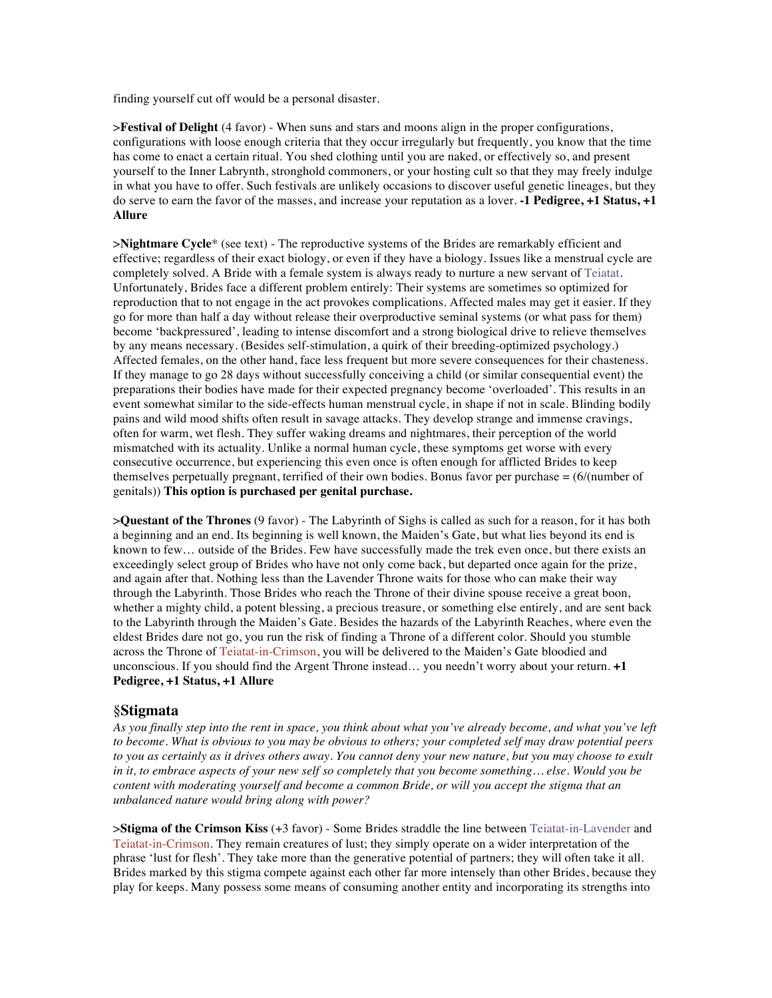finding yourself cut off would be a personal disaster.

>**Festival of Delight** (4 favor) - When suns and stars and moons align in the proper configurations, configurations with loose enough criteria that they occur irregularly but frequently, you know that the time has come to enact a certain ritual. You shed clothing until you are naked, or effectively so, and present yourself to the Inner Labrynth, stronghold commoners, or your hosting cult so that they may freely indulge in what you have to offer. Such festivals are unlikely occasions to discover useful genetic lineages, but they do serve to earn the favor of the masses, and increase your reputation as a lover. **-1 Pedigree, +1 Status, +1 Allure**

>**Nightmare Cycle**\* (see text) - The reproductive systems of the Brides are remarkably efficient and effective; regardless of their exact biology, or even if they have a biology. Issues like a menstrual cycle are completely solved. A Bride with a female system is always ready to nurture a new servant of Teiatat. Unfortunately, Brides face a different problem entirely: Their systems are sometimes so optimized for reproduction that to not engage in the act provokes complications. Affected males may get it easier. If they go for more than half a day without release their overproductive seminal systems (or what pass for them) become 'backpressured', leading to intense discomfort and a strong biological drive to relieve themselves by any means necessary. (Besides self-stimulation, a quirk of their breeding-optimized psychology.) Affected females, on the other hand, face less frequent but more severe consequences for their chasteness. If they manage to go 28 days without successfully conceiving a child (or similar consequential event) the preparations their bodies have made for their expected pregnancy become 'overloaded'. This results in an event somewhat similar to the side-effects human menstrual cycle, in shape if not in scale. Blinding bodily pains and wild mood shifts often result in savage attacks. They develop strange and immense cravings, often for warm, wet flesh. They suffer waking dreams and nightmares, their perception of the world mismatched with its actuality. Unlike a normal human cycle, these symptoms get worse with every consecutive occurrence, but experiencing this even once is often enough for afflicted Brides to keep themselves perpetually pregnant, terrified of their own bodies. Bonus favor per purchase = (6/(number of genitals)) **This option is purchased per genital purchase.**

>**Questant of the Thrones** (9 favor) - The Labyrinth of Sighs is called as such for a reason, for it has both a beginning and an end. Its beginning is well known, the Maiden's Gate, but what lies beyond its end is known to few… outside of the Brides. Few have successfully made the trek even once, but there exists an exceedingly select group of Brides who have not only come back, but departed once again for the prize, and again after that. Nothing less than the Lavender Throne waits for those who can make their way through the Labyrinth. Those Brides who reach the Throne of their divine spouse receive a great boon, whether a mighty child, a potent blessing, a precious treasure, or something else entirely, and are sent back to the Labyrinth through the Maiden's Gate. Besides the hazards of the Labyrinth Reaches, where even the eldest Brides dare not go, you run the risk of finding a Throne of a different color. Should you stumble across the Throne of Teiatat-in-Crimson, you will be delivered to the Maiden's Gate bloodied and unconscious. If you should find the Argent Throne instead… you needn't worry about your return. **+1 Pedigree, +1 Status, +1 Allure**

### §**Stigmata**

*As you finally step into the rent in space, you think about what you've already become, and what you've left to become. What is obvious to you may be obvious to others; your completed self may draw potential peers to you as certainly as it drives others away. You cannot deny your new nature, but you may choose to exult in it, to embrace aspects of your new self so completely that you become something… else. Would you be content with moderating yourself and become a common Bride, or will you accept the stigma that an unbalanced nature would bring along with power?*

>**Stigma of the Crimson Kiss** (+3 favor) - Some Brides straddle the line between Teiatat-in-Lavender and Teiatat-in-Crimson. They remain creatures of lust; they simply operate on a wider interpretation of the phrase 'lust for flesh'. They take more than the generative potential of partners; they will often take it all. Brides marked by this stigma compete against each other far more intensely than other Brides, because they play for keeps. Many possess some means of consuming another entity and incorporating its strengths into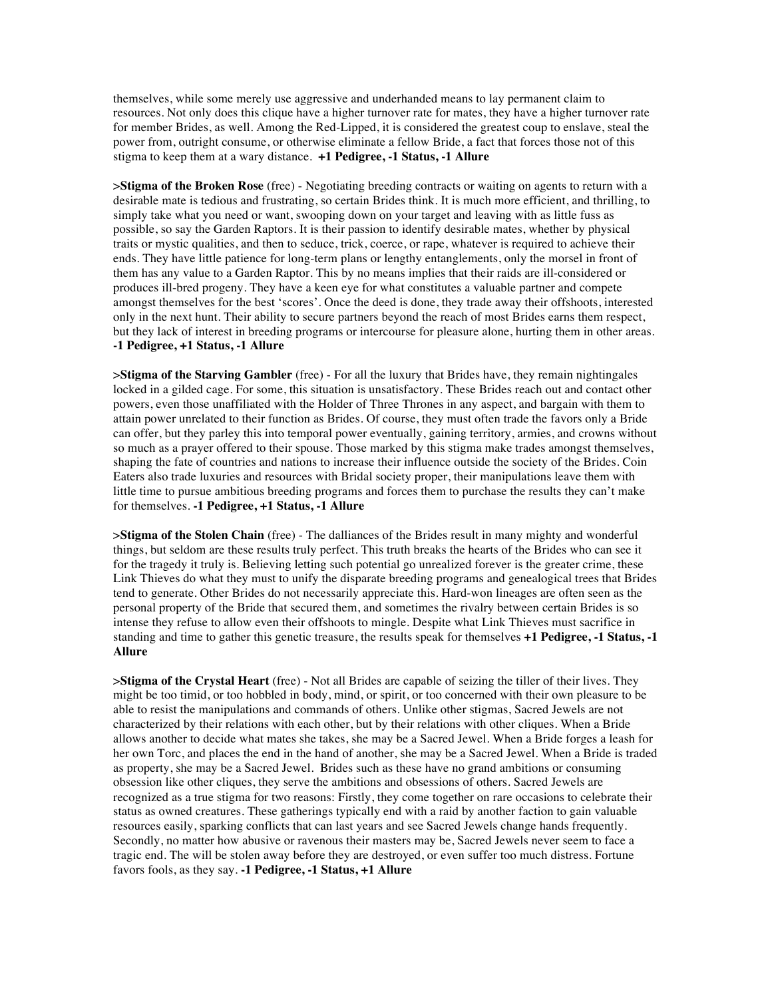themselves, while some merely use aggressive and underhanded means to lay permanent claim to resources. Not only does this clique have a higher turnover rate for mates, they have a higher turnover rate for member Brides, as well. Among the Red-Lipped, it is considered the greatest coup to enslave, steal the power from, outright consume, or otherwise eliminate a fellow Bride, a fact that forces those not of this stigma to keep them at a wary distance. **+1 Pedigree, -1 Status, -1 Allure**

>**Stigma of the Broken Rose** (free) - Negotiating breeding contracts or waiting on agents to return with a desirable mate is tedious and frustrating, so certain Brides think. It is much more efficient, and thrilling, to simply take what you need or want, swooping down on your target and leaving with as little fuss as possible, so say the Garden Raptors. It is their passion to identify desirable mates, whether by physical traits or mystic qualities, and then to seduce, trick, coerce, or rape, whatever is required to achieve their ends. They have little patience for long-term plans or lengthy entanglements, only the morsel in front of them has any value to a Garden Raptor. This by no means implies that their raids are ill-considered or produces ill-bred progeny. They have a keen eye for what constitutes a valuable partner and compete amongst themselves for the best 'scores'. Once the deed is done, they trade away their offshoots, interested only in the next hunt. Their ability to secure partners beyond the reach of most Brides earns them respect, but they lack of interest in breeding programs or intercourse for pleasure alone, hurting them in other areas. **-1 Pedigree, +1 Status, -1 Allure**

>**Stigma of the Starving Gambler** (free) - For all the luxury that Brides have, they remain nightingales locked in a gilded cage. For some, this situation is unsatisfactory. These Brides reach out and contact other powers, even those unaffiliated with the Holder of Three Thrones in any aspect, and bargain with them to attain power unrelated to their function as Brides. Of course, they must often trade the favors only a Bride can offer, but they parley this into temporal power eventually, gaining territory, armies, and crowns without so much as a prayer offered to their spouse. Those marked by this stigma make trades amongst themselves, shaping the fate of countries and nations to increase their influence outside the society of the Brides. Coin Eaters also trade luxuries and resources with Bridal society proper, their manipulations leave them with little time to pursue ambitious breeding programs and forces them to purchase the results they can't make for themselves. **-1 Pedigree, +1 Status, -1 Allure**

>**Stigma of the Stolen Chain** (free) - The dalliances of the Brides result in many mighty and wonderful things, but seldom are these results truly perfect. This truth breaks the hearts of the Brides who can see it for the tragedy it truly is. Believing letting such potential go unrealized forever is the greater crime, these Link Thieves do what they must to unify the disparate breeding programs and genealogical trees that Brides tend to generate. Other Brides do not necessarily appreciate this. Hard-won lineages are often seen as the personal property of the Bride that secured them, and sometimes the rivalry between certain Brides is so intense they refuse to allow even their offshoots to mingle. Despite what Link Thieves must sacrifice in standing and time to gather this genetic treasure, the results speak for themselves **+1 Pedigree, -1 Status, -1 Allure**

>**Stigma of the Crystal Heart** (free) - Not all Brides are capable of seizing the tiller of their lives. They might be too timid, or too hobbled in body, mind, or spirit, or too concerned with their own pleasure to be able to resist the manipulations and commands of others. Unlike other stigmas, Sacred Jewels are not characterized by their relations with each other, but by their relations with other cliques. When a Bride allows another to decide what mates she takes, she may be a Sacred Jewel. When a Bride forges a leash for her own Torc, and places the end in the hand of another, she may be a Sacred Jewel. When a Bride is traded as property, she may be a Sacred Jewel. Brides such as these have no grand ambitions or consuming obsession like other cliques, they serve the ambitions and obsessions of others. Sacred Jewels are recognized as a true stigma for two reasons: Firstly, they come together on rare occasions to celebrate their status as owned creatures. These gatherings typically end with a raid by another faction to gain valuable resources easily, sparking conflicts that can last years and see Sacred Jewels change hands frequently. Secondly, no matter how abusive or ravenous their masters may be, Sacred Jewels never seem to face a tragic end. The will be stolen away before they are destroyed, or even suffer too much distress. Fortune favors fools, as they say. **-1 Pedigree, -1 Status, +1 Allure**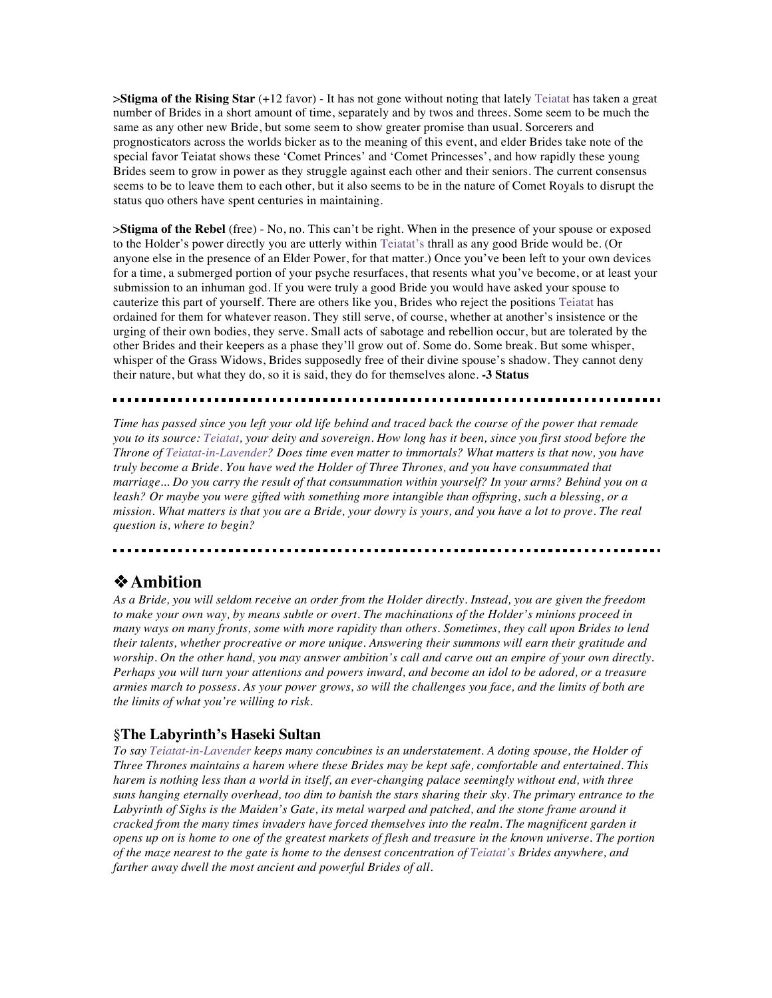>**Stigma of the Rising Star** (+12 favor) - It has not gone without noting that lately Teiatat has taken a great number of Brides in a short amount of time, separately and by twos and threes. Some seem to be much the same as any other new Bride, but some seem to show greater promise than usual. Sorcerers and prognosticators across the worlds bicker as to the meaning of this event, and elder Brides take note of the special favor Teiatat shows these 'Comet Princes' and 'Comet Princesses', and how rapidly these young Brides seem to grow in power as they struggle against each other and their seniors. The current consensus seems to be to leave them to each other, but it also seems to be in the nature of Comet Royals to disrupt the status quo others have spent centuries in maintaining.

>**Stigma of the Rebel** (free) - No, no. This can't be right. When in the presence of your spouse or exposed to the Holder's power directly you are utterly within Teiatat's thrall as any good Bride would be. (Or anyone else in the presence of an Elder Power, for that matter.) Once you've been left to your own devices for a time, a submerged portion of your psyche resurfaces, that resents what you've become, or at least your submission to an inhuman god. If you were truly a good Bride you would have asked your spouse to cauterize this part of yourself. There are others like you, Brides who reject the positions Teiatat has ordained for them for whatever reason. They still serve, of course, whether at another's insistence or the urging of their own bodies, they serve. Small acts of sabotage and rebellion occur, but are tolerated by the other Brides and their keepers as a phase they'll grow out of. Some do. Some break. But some whisper, whisper of the Grass Widows, Brides supposedly free of their divine spouse's shadow. They cannot deny their nature, but what they do, so it is said, they do for themselves alone. **-3 Status**

*Time has passed since you left your old life behind and traced back the course of the power that remade you to its source: Teiatat, your deity and sovereign. How long has it been, since you first stood before the Throne of Teiatat-in-Lavender? Does time even matter to immortals? What matters is that now, you have truly become a Bride. You have wed the Holder of Three Thrones, and you have consummated that marriage... Do you carry the result of that consummation within yourself? In your arms? Behind you on a leash? Or maybe you were gifted with something more intangible than offspring, such a blessing, or a mission. What matters is that you are a Bride, your dowry is yours, and you have a lot to prove. The real question is, where to begin?*

## *❖* Ambition

*As a Bride, you will seldom receive an order from the Holder directly. Instead, you are given the freedom to make your own way, by means subtle or overt. The machinations of the Holder's minions proceed in many ways on many fronts, some with more rapidity than others. Sometimes, they call upon Brides to lend their talents, whether procreative or more unique. Answering their summons will earn their gratitude and worship. On the other hand, you may answer ambition's call and carve out an empire of your own directly. Perhaps you will turn your attentions and powers inward, and become an idol to be adored, or a treasure armies march to possess. As your power grows, so will the challenges you face, and the limits of both are the limits of what you're willing to risk.*

### §**The Labyrinth's Haseki Sultan**

*To say Teiatat-in-Lavender keeps many concubines is an understatement. A doting spouse, the Holder of Three Thrones maintains a harem where these Brides may be kept safe, comfortable and entertained. This harem is nothing less than a world in itself, an ever-changing palace seemingly without end, with three suns hanging eternally overhead, too dim to banish the stars sharing their sky. The primary entrance to the Labyrinth of Sighs is the Maiden's Gate, its metal warped and patched, and the stone frame around it cracked from the many times invaders have forced themselves into the realm. The magnificent garden it opens up on is home to one of the greatest markets of flesh and treasure in the known universe. The portion of the maze nearest to the gate is home to the densest concentration of Teiatat's Brides anywhere, and farther away dwell the most ancient and powerful Brides of all.*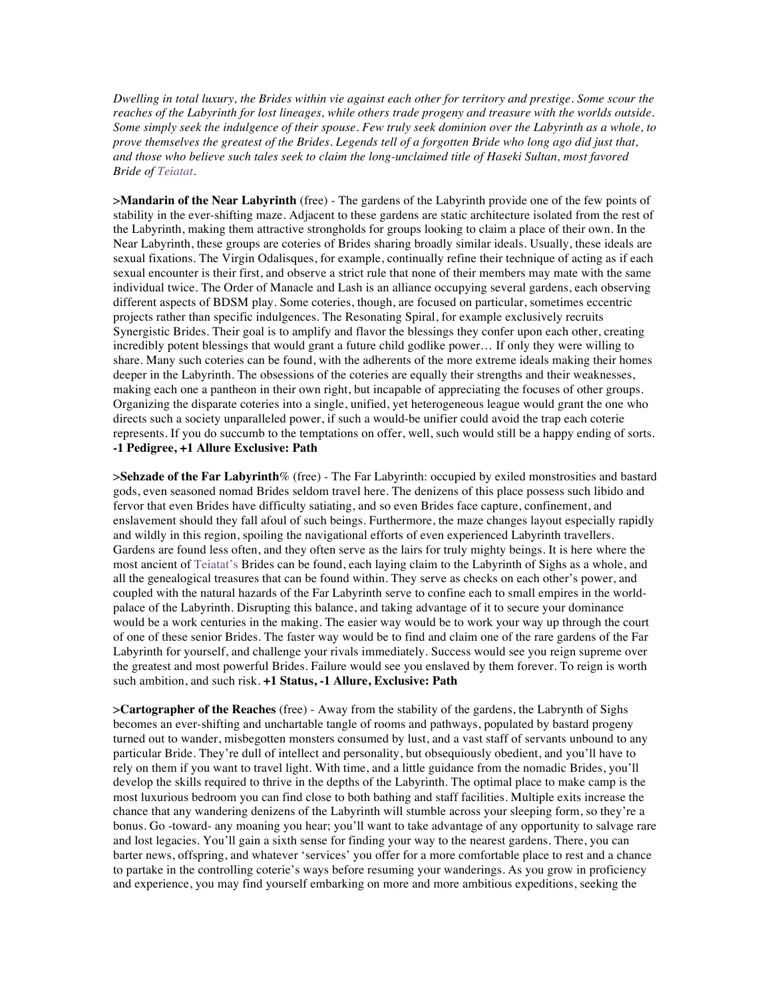*Dwelling in total luxury, the Brides within vie against each other for territory and prestige. Some scour the reaches of the Labyrinth for lost lineages, while others trade progeny and treasure with the worlds outside. Some simply seek the indulgence of their spouse. Few truly seek dominion over the Labyrinth as a whole, to prove themselves the greatest of the Brides. Legends tell of a forgotten Bride who long ago did just that, and those who believe such tales seek to claim the long-unclaimed title of Haseki Sultan, most favored Bride of Teiatat.*

>**Mandarin of the Near Labyrinth** (free) - The gardens of the Labyrinth provide one of the few points of stability in the ever-shifting maze. Adjacent to these gardens are static architecture isolated from the rest of the Labyrinth, making them attractive strongholds for groups looking to claim a place of their own. In the Near Labyrinth, these groups are coteries of Brides sharing broadly similar ideals. Usually, these ideals are sexual fixations. The Virgin Odalisques, for example, continually refine their technique of acting as if each sexual encounter is their first, and observe a strict rule that none of their members may mate with the same individual twice. The Order of Manacle and Lash is an alliance occupying several gardens, each observing different aspects of BDSM play. Some coteries, though, are focused on particular, sometimes eccentric projects rather than specific indulgences. The Resonating Spiral, for example exclusively recruits Synergistic Brides. Their goal is to amplify and flavor the blessings they confer upon each other, creating incredibly potent blessings that would grant a future child godlike power… If only they were willing to share. Many such coteries can be found, with the adherents of the more extreme ideals making their homes deeper in the Labyrinth. The obsessions of the coteries are equally their strengths and their weaknesses, making each one a pantheon in their own right, but incapable of appreciating the focuses of other groups. Organizing the disparate coteries into a single, unified, yet heterogeneous league would grant the one who directs such a society unparalleled power, if such a would-be unifier could avoid the trap each coterie represents. If you do succumb to the temptations on offer, well, such would still be a happy ending of sorts. **-1 Pedigree, +1 Allure Exclusive: Path**

>**Sehzade of the Far Labyrinth**% (free) - The Far Labyrinth: occupied by exiled monstrosities and bastard gods, even seasoned nomad Brides seldom travel here. The denizens of this place possess such libido and fervor that even Brides have difficulty satiating, and so even Brides face capture, confinement, and enslavement should they fall afoul of such beings. Furthermore, the maze changes layout especially rapidly and wildly in this region, spoiling the navigational efforts of even experienced Labyrinth travellers. Gardens are found less often, and they often serve as the lairs for truly mighty beings. It is here where the most ancient of Teiatat's Brides can be found, each laying claim to the Labyrinth of Sighs as a whole, and all the genealogical treasures that can be found within. They serve as checks on each other's power, and coupled with the natural hazards of the Far Labyrinth serve to confine each to small empires in the worldpalace of the Labyrinth. Disrupting this balance, and taking advantage of it to secure your dominance would be a work centuries in the making. The easier way would be to work your way up through the court of one of these senior Brides. The faster way would be to find and claim one of the rare gardens of the Far Labyrinth for yourself, and challenge your rivals immediately. Success would see you reign supreme over the greatest and most powerful Brides. Failure would see you enslaved by them forever. To reign is worth such ambition, and such risk. **+1 Status, -1 Allure, Exclusive: Path**

>**Cartographer of the Reaches** (free) - Away from the stability of the gardens, the Labrynth of Sighs becomes an ever-shifting and unchartable tangle of rooms and pathways, populated by bastard progeny turned out to wander, misbegotten monsters consumed by lust, and a vast staff of servants unbound to any particular Bride. They're dull of intellect and personality, but obsequiously obedient, and you'll have to rely on them if you want to travel light. With time, and a little guidance from the nomadic Brides, you'll develop the skills required to thrive in the depths of the Labyrinth. The optimal place to make camp is the most luxurious bedroom you can find close to both bathing and staff facilities. Multiple exits increase the chance that any wandering denizens of the Labyrinth will stumble across your sleeping form, so they're a bonus. Go -toward- any moaning you hear; you'll want to take advantage of any opportunity to salvage rare and lost legacies. You'll gain a sixth sense for finding your way to the nearest gardens. There, you can barter news, offspring, and whatever 'services' you offer for a more comfortable place to rest and a chance to partake in the controlling coterie's ways before resuming your wanderings. As you grow in proficiency and experience, you may find yourself embarking on more and more ambitious expeditions, seeking the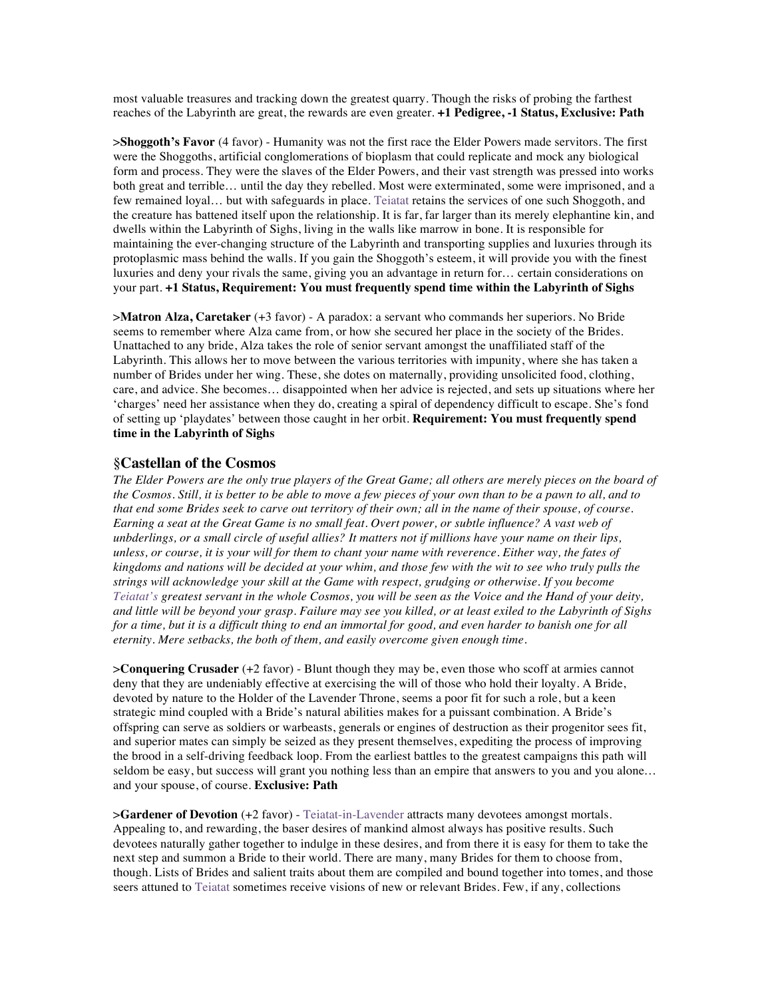most valuable treasures and tracking down the greatest quarry. Though the risks of probing the farthest reaches of the Labyrinth are great, the rewards are even greater. **+1 Pedigree, -1 Status, Exclusive: Path**

>**Shoggoth's Favor** (4 favor) - Humanity was not the first race the Elder Powers made servitors. The first were the Shoggoths, artificial conglomerations of bioplasm that could replicate and mock any biological form and process. They were the slaves of the Elder Powers, and their vast strength was pressed into works both great and terrible… until the day they rebelled. Most were exterminated, some were imprisoned, and a few remained loyal… but with safeguards in place. Teiatat retains the services of one such Shoggoth, and the creature has battened itself upon the relationship. It is far, far larger than its merely elephantine kin, and dwells within the Labyrinth of Sighs, living in the walls like marrow in bone. It is responsible for maintaining the ever-changing structure of the Labyrinth and transporting supplies and luxuries through its protoplasmic mass behind the walls. If you gain the Shoggoth's esteem, it will provide you with the finest luxuries and deny your rivals the same, giving you an advantage in return for… certain considerations on your part. **+1 Status, Requirement: You must frequently spend time within the Labyrinth of Sighs**

>**Matron Alza, Caretaker** (+3 favor) - A paradox: a servant who commands her superiors. No Bride seems to remember where Alza came from, or how she secured her place in the society of the Brides. Unattached to any bride, Alza takes the role of senior servant amongst the unaffiliated staff of the Labyrinth. This allows her to move between the various territories with impunity, where she has taken a number of Brides under her wing. These, she dotes on maternally, providing unsolicited food, clothing, care, and advice. She becomes… disappointed when her advice is rejected, and sets up situations where her 'charges' need her assistance when they do, creating a spiral of dependency difficult to escape. She's fond of setting up 'playdates' between those caught in her orbit. **Requirement: You must frequently spend time in the Labyrinth of Sighs**

### §**Castellan of the Cosmos**

*The Elder Powers are the only true players of the Great Game; all others are merely pieces on the board of the Cosmos. Still, it is better to be able to move a few pieces of your own than to be a pawn to all, and to that end some Brides seek to carve out territory of their own; all in the name of their spouse, of course. Earning a seat at the Great Game is no small feat. Overt power, or subtle influence? A vast web of unbderlings, or a small circle of useful allies? It matters not if millions have your name on their lips, unless, or course, it is your will for them to chant your name with reverence. Either way, the fates of kingdoms and nations will be decided at your whim, and those few with the wit to see who truly pulls the strings will acknowledge your skill at the Game with respect, grudging or otherwise. If you become Teiatat's greatest servant in the whole Cosmos, you will be seen as the Voice and the Hand of your deity, and little will be beyond your grasp. Failure may see you killed, or at least exiled to the Labyrinth of Sighs for a time, but it is a difficult thing to end an immortal for good, and even harder to banish one for all eternity. Mere setbacks, the both of them, and easily overcome given enough time.*

>**Conquering Crusader** (+2 favor) - Blunt though they may be, even those who scoff at armies cannot deny that they are undeniably effective at exercising the will of those who hold their loyalty. A Bride, devoted by nature to the Holder of the Lavender Throne, seems a poor fit for such a role, but a keen strategic mind coupled with a Bride's natural abilities makes for a puissant combination. A Bride's offspring can serve as soldiers or warbeasts, generals or engines of destruction as their progenitor sees fit, and superior mates can simply be seized as they present themselves, expediting the process of improving the brood in a self-driving feedback loop. From the earliest battles to the greatest campaigns this path will seldom be easy, but success will grant you nothing less than an empire that answers to you and you alone… and your spouse, of course. **Exclusive: Path**

>**Gardener of Devotion** (+2 favor) - Teiatat-in-Lavender attracts many devotees amongst mortals. Appealing to, and rewarding, the baser desires of mankind almost always has positive results. Such devotees naturally gather together to indulge in these desires, and from there it is easy for them to take the next step and summon a Bride to their world. There are many, many Brides for them to choose from, though. Lists of Brides and salient traits about them are compiled and bound together into tomes, and those seers attuned to Teiatat sometimes receive visions of new or relevant Brides. Few, if any, collections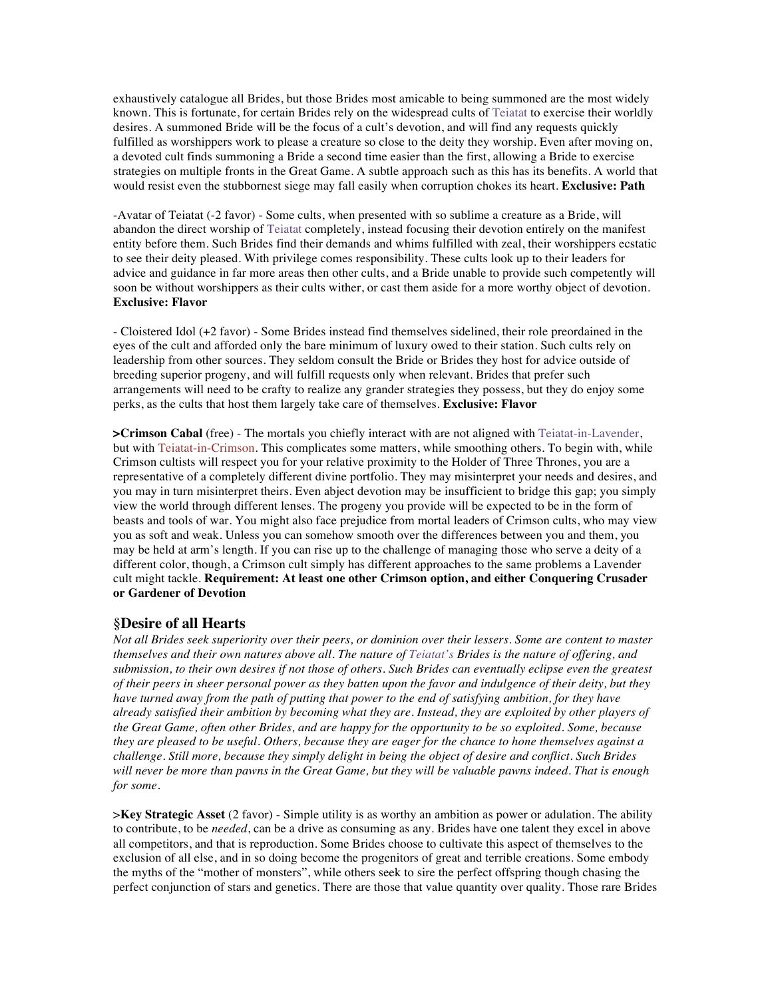exhaustively catalogue all Brides, but those Brides most amicable to being summoned are the most widely known. This is fortunate, for certain Brides rely on the widespread cults of Teiatat to exercise their worldly desires. A summoned Bride will be the focus of a cult's devotion, and will find any requests quickly fulfilled as worshippers work to please a creature so close to the deity they worship. Even after moving on, a devoted cult finds summoning a Bride a second time easier than the first, allowing a Bride to exercise strategies on multiple fronts in the Great Game. A subtle approach such as this has its benefits. A world that would resist even the stubbornest siege may fall easily when corruption chokes its heart. **Exclusive: Path**

-Avatar of Teiatat (-2 favor) - Some cults, when presented with so sublime a creature as a Bride, will abandon the direct worship of Teiatat completely, instead focusing their devotion entirely on the manifest entity before them. Such Brides find their demands and whims fulfilled with zeal, their worshippers ecstatic to see their deity pleased. With privilege comes responsibility. These cults look up to their leaders for advice and guidance in far more areas then other cults, and a Bride unable to provide such competently will soon be without worshippers as their cults wither, or cast them aside for a more worthy object of devotion. **Exclusive: Flavor**

- Cloistered Idol (+2 favor) - Some Brides instead find themselves sidelined, their role preordained in the eyes of the cult and afforded only the bare minimum of luxury owed to their station. Such cults rely on leadership from other sources. They seldom consult the Bride or Brides they host for advice outside of breeding superior progeny, and will fulfill requests only when relevant. Brides that prefer such arrangements will need to be crafty to realize any grander strategies they possess, but they do enjoy some perks, as the cults that host them largely take care of themselves. **Exclusive: Flavor**

**>Crimson Cabal** (free) - The mortals you chiefly interact with are not aligned with Teiatat-in-Lavender, but with Teiatat-in-Crimson. This complicates some matters, while smoothing others. To begin with, while Crimson cultists will respect you for your relative proximity to the Holder of Three Thrones, you are a representative of a completely different divine portfolio. They may misinterpret your needs and desires, and you may in turn misinterpret theirs. Even abject devotion may be insufficient to bridge this gap; you simply view the world through different lenses. The progeny you provide will be expected to be in the form of beasts and tools of war. You might also face prejudice from mortal leaders of Crimson cults, who may view you as soft and weak. Unless you can somehow smooth over the differences between you and them, you may be held at arm's length. If you can rise up to the challenge of managing those who serve a deity of a different color, though, a Crimson cult simply has different approaches to the same problems a Lavender cult might tackle. **Requirement: At least one other Crimson option, and either Conquering Crusader or Gardener of Devotion**

### §**Desire of all Hearts**

*Not all Brides seek superiority over their peers, or dominion over their lessers. Some are content to master themselves and their own natures above all. The nature of Teiatat's Brides is the nature of offering, and submission, to their own desires if not those of others. Such Brides can eventually eclipse even the greatest of their peers in sheer personal power as they batten upon the favor and indulgence of their deity, but they have turned away from the path of putting that power to the end of satisfying ambition, for they have already satisfied their ambition by becoming what they are. Instead, they are exploited by other players of the Great Game, often other Brides, and are happy for the opportunity to be so exploited. Some, because they are pleased to be useful. Others, because they are eager for the chance to hone themselves against a challenge. Still more, because they simply delight in being the object of desire and conflict. Such Brides will never be more than pawns in the Great Game, but they will be valuable pawns indeed. That is enough for some.*

>**Key Strategic Asset** (2 favor) - Simple utility is as worthy an ambition as power or adulation. The ability to contribute, to be *needed*, can be a drive as consuming as any. Brides have one talent they excel in above all competitors, and that is reproduction. Some Brides choose to cultivate this aspect of themselves to the exclusion of all else, and in so doing become the progenitors of great and terrible creations. Some embody the myths of the "mother of monsters", while others seek to sire the perfect offspring though chasing the perfect conjunction of stars and genetics. There are those that value quantity over quality. Those rare Brides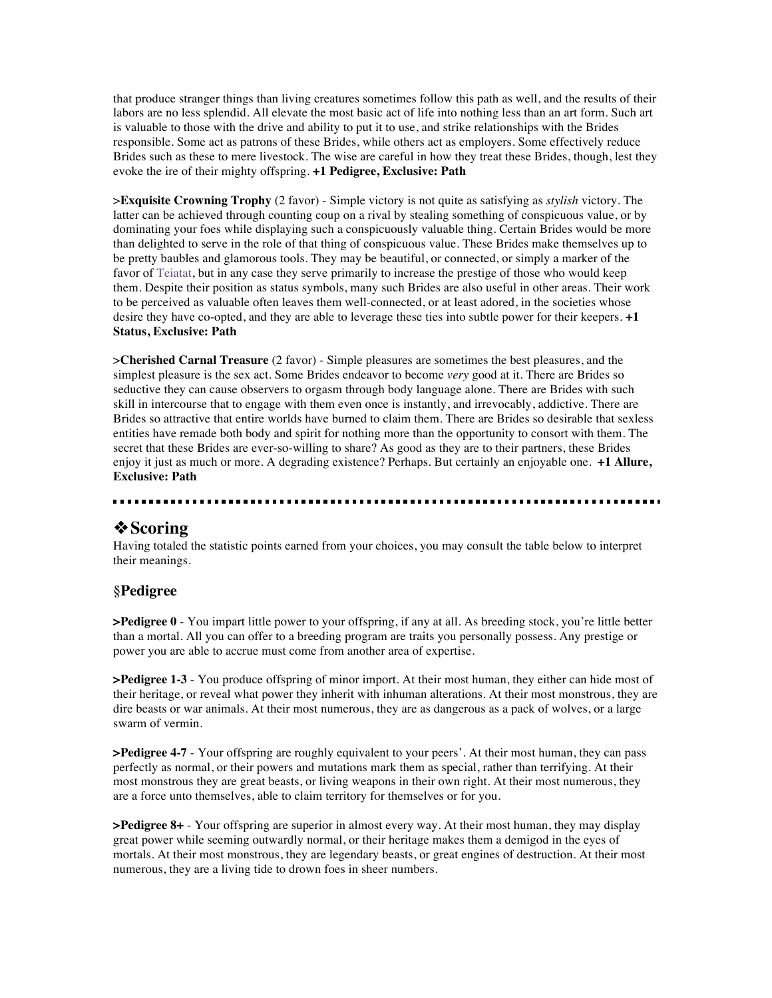that produce stranger things than living creatures sometimes follow this path as well, and the results of their labors are no less splendid. All elevate the most basic act of life into nothing less than an art form. Such art is valuable to those with the drive and ability to put it to use, and strike relationships with the Brides responsible. Some act as patrons of these Brides, while others act as employers. Some effectively reduce Brides such as these to mere livestock. The wise are careful in how they treat these Brides, though, lest they evoke the ire of their mighty offspring. **+1 Pedigree, Exclusive: Path**

>**Exquisite Crowning Trophy** (2 favor) - Simple victory is not quite as satisfying as *stylish* victory. The latter can be achieved through counting coup on a rival by stealing something of conspicuous value, or by dominating your foes while displaying such a conspicuously valuable thing. Certain Brides would be more than delighted to serve in the role of that thing of conspicuous value. These Brides make themselves up to be pretty baubles and glamorous tools. They may be beautiful, or connected, or simply a marker of the favor of Teiatat, but in any case they serve primarily to increase the prestige of those who would keep them. Despite their position as status symbols, many such Brides are also useful in other areas. Their work to be perceived as valuable often leaves them well-connected, or at least adored, in the societies whose desire they have co-opted, and they are able to leverage these ties into subtle power for their keepers. **+1 Status, Exclusive: Path**

>**Cherished Carnal Treasure** (2 favor) - Simple pleasures are sometimes the best pleasures, and the simplest pleasure is the sex act. Some Brides endeavor to become *very* good at it. There are Brides so seductive they can cause observers to orgasm through body language alone. There are Brides with such skill in intercourse that to engage with them even once is instantly, and irrevocably, addictive. There are Brides so attractive that entire worlds have burned to claim them. There are Brides so desirable that sexless entities have remade both body and spirit for nothing more than the opportunity to consort with them. The secret that these Brides are ever-so-willing to share? As good as they are to their partners, these Brides enjoy it just as much or more. A degrading existence? Perhaps. But certainly an enjoyable one. **+1 Allure, Exclusive: Path**

. . . . . . . . . . . . . . . . .

# *<b>Scoring*

Having totaled the statistic points earned from your choices, you may consult the table below to interpret their meanings.

### §**Pedigree**

**>Pedigree 0** - You impart little power to your offspring, if any at all. As breeding stock, you're little better than a mortal. All you can offer to a breeding program are traits you personally possess. Any prestige or power you are able to accrue must come from another area of expertise.

**>Pedigree 1-3** - You produce offspring of minor import. At their most human, they either can hide most of their heritage, or reveal what power they inherit with inhuman alterations. At their most monstrous, they are dire beasts or war animals. At their most numerous, they are as dangerous as a pack of wolves, or a large swarm of vermin.

**>Pedigree 4-7** - Your offspring are roughly equivalent to your peers'. At their most human, they can pass perfectly as normal, or their powers and mutations mark them as special, rather than terrifying. At their most monstrous they are great beasts, or living weapons in their own right. At their most numerous, they are a force unto themselves, able to claim territory for themselves or for you.

**>Pedigree 8+** - Your offspring are superior in almost every way. At their most human, they may display great power while seeming outwardly normal, or their heritage makes them a demigod in the eyes of mortals. At their most monstrous, they are legendary beasts, or great engines of destruction. At their most numerous, they are a living tide to drown foes in sheer numbers.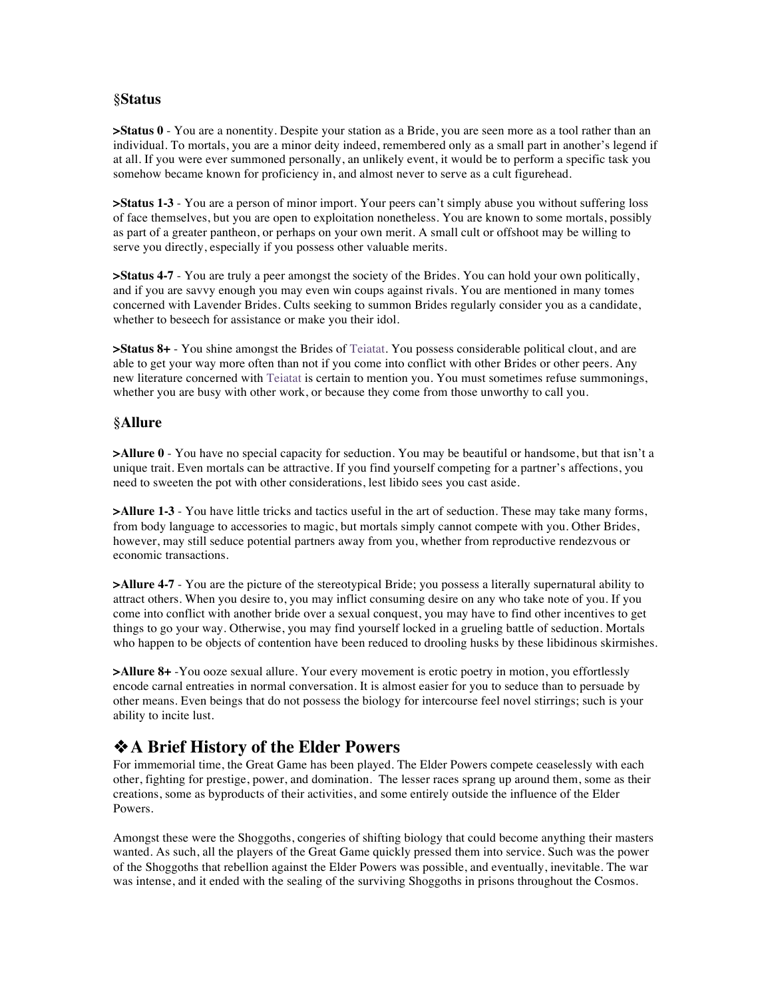### §**Status**

**>Status 0** - You are a nonentity. Despite your station as a Bride, you are seen more as a tool rather than an individual. To mortals, you are a minor deity indeed, remembered only as a small part in another's legend if at all. If you were ever summoned personally, an unlikely event, it would be to perform a specific task you somehow became known for proficiency in, and almost never to serve as a cult figurehead.

**>Status 1-3** - You are a person of minor import. Your peers can't simply abuse you without suffering loss of face themselves, but you are open to exploitation nonetheless. You are known to some mortals, possibly as part of a greater pantheon, or perhaps on your own merit. A small cult or offshoot may be willing to serve you directly, especially if you possess other valuable merits.

**>Status 4-7** - You are truly a peer amongst the society of the Brides. You can hold your own politically, and if you are savvy enough you may even win coups against rivals. You are mentioned in many tomes concerned with Lavender Brides. Cults seeking to summon Brides regularly consider you as a candidate, whether to beseech for assistance or make you their idol.

**>Status 8+** - You shine amongst the Brides of Teiatat. You possess considerable political clout, and are able to get your way more often than not if you come into conflict with other Brides or other peers. Any new literature concerned with Teiatat is certain to mention you. You must sometimes refuse summonings, whether you are busy with other work, or because they come from those unworthy to call you.

### §**Allure**

**>Allure 0** - You have no special capacity for seduction. You may be beautiful or handsome, but that isn't a unique trait. Even mortals can be attractive. If you find yourself competing for a partner's affections, you need to sweeten the pot with other considerations, lest libido sees you cast aside.

**>Allure 1-3** - You have little tricks and tactics useful in the art of seduction. These may take many forms, from body language to accessories to magic, but mortals simply cannot compete with you. Other Brides, however, may still seduce potential partners away from you, whether from reproductive rendezvous or economic transactions.

**>Allure 4-7** - You are the picture of the stereotypical Bride; you possess a literally supernatural ability to attract others. When you desire to, you may inflict consuming desire on any who take note of you. If you come into conflict with another bride over a sexual conquest, you may have to find other incentives to get things to go your way. Otherwise, you may find yourself locked in a grueling battle of seduction. Mortals who happen to be objects of contention have been reduced to drooling husks by these libidinous skirmishes.

**>Allure 8+** -You ooze sexual allure. Your every movement is erotic poetry in motion, you effortlessly encode carnal entreaties in normal conversation. It is almost easier for you to seduce than to persuade by other means. Even beings that do not possess the biology for intercourse feel novel stirrings; such is your ability to incite lust.

## !**A Brief History of the Elder Powers**

For immemorial time, the Great Game has been played. The Elder Powers compete ceaselessly with each other, fighting for prestige, power, and domination. The lesser races sprang up around them, some as their creations, some as byproducts of their activities, and some entirely outside the influence of the Elder Powers.

Amongst these were the Shoggoths, congeries of shifting biology that could become anything their masters wanted. As such, all the players of the Great Game quickly pressed them into service. Such was the power of the Shoggoths that rebellion against the Elder Powers was possible, and eventually, inevitable. The war was intense, and it ended with the sealing of the surviving Shoggoths in prisons throughout the Cosmos.